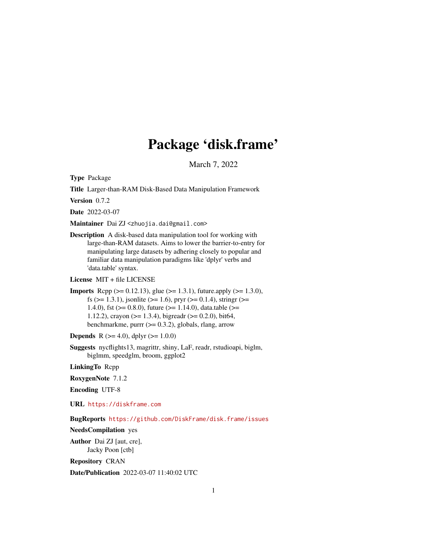# Package 'disk.frame'

March 7, 2022

<span id="page-0-0"></span>Type Package

Title Larger-than-RAM Disk-Based Data Manipulation Framework

Version 0.7.2

Date 2022-03-07

Maintainer Dai ZJ <zhuojia.dai@gmail.com>

Description A disk-based data manipulation tool for working with large-than-RAM datasets. Aims to lower the barrier-to-entry for manipulating large datasets by adhering closely to popular and familiar data manipulation paradigms like 'dplyr' verbs and 'data.table' syntax.

License MIT + file LICENSE

**Imports** Rcpp ( $>= 0.12.13$ ), glue ( $>= 1.3.1$ ), future.apply ( $>= 1.3.0$ ), fs ( $>= 1.3.1$ ), jsonlite ( $>= 1.6$ ), pryr ( $>= 0.1.4$ ), stringr ( $>=$ 1.4.0), fst ( $>= 0.8.0$ ), future ( $>= 1.14.0$ ), data.table ( $>= 1.14.0$ 1.12.2), crayon ( $>= 1.3.4$ ), bigreadr ( $>= 0.2.0$ ), bit64, benchmarkme, purrr  $(>= 0.3.2)$ , globals, rlang, arrow

**Depends** R ( $>= 4.0$ ), dplyr ( $>= 1.0.0$ )

Suggests nycflights13, magrittr, shiny, LaF, readr, rstudioapi, biglm, biglmm, speedglm, broom, ggplot2

LinkingTo Rcpp

RoxygenNote 7.1.2

Encoding UTF-8

URL <https://diskframe.com>

BugReports <https://github.com/DiskFrame/disk.frame/issues>

NeedsCompilation yes

Author Dai ZJ [aut, cre], Jacky Poon [ctb]

Repository CRAN

Date/Publication 2022-03-07 11:40:02 UTC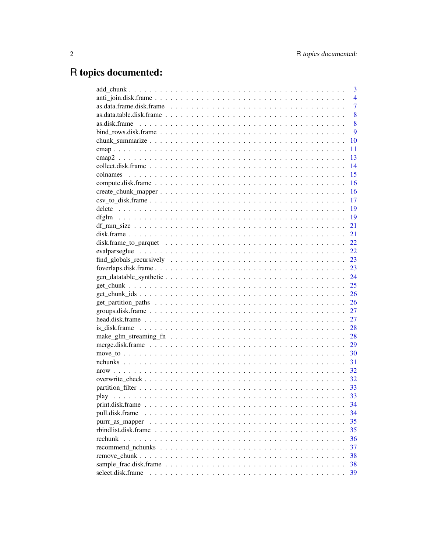# R topics documented:

|                   | 3              |
|-------------------|----------------|
|                   | $\overline{4}$ |
|                   | $\overline{7}$ |
|                   | 8              |
|                   | 8              |
|                   | 9              |
|                   | 10             |
|                   | 11             |
|                   | 13             |
|                   | 14             |
|                   | 15             |
|                   | 16             |
|                   | 16             |
|                   | 17             |
|                   | 19             |
|                   | 19             |
|                   | 21             |
|                   | 21             |
|                   | 22             |
|                   | 22             |
|                   | 23             |
|                   | 23             |
|                   | 24             |
|                   | 25             |
|                   | 26             |
|                   | 26             |
|                   |                |
|                   | 27             |
|                   | 28             |
|                   | 28             |
|                   | 29             |
|                   | 30             |
|                   | 31             |
|                   | 32             |
|                   |                |
|                   |                |
|                   | 33             |
|                   | 34             |
| pull.disk.frame   | 34             |
| purrr_as_mapper   | 35             |
|                   | 35             |
|                   | 36             |
|                   | 37             |
|                   | 38             |
|                   | 38             |
| select.disk.frame | 39             |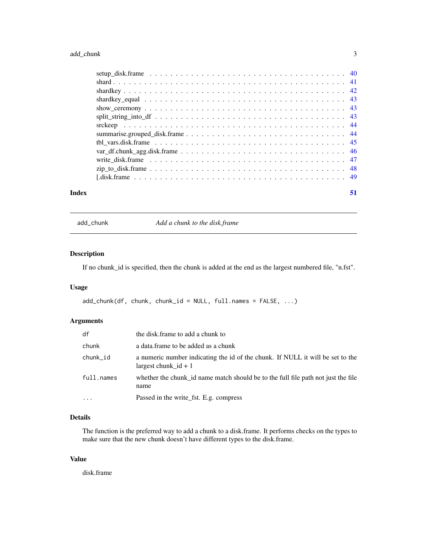# <span id="page-2-0"></span>add\_chunk 3

| Index | 51 |
|-------|----|

add\_chunk *Add a chunk to the disk.frame*

# Description

If no chunk\_id is specified, then the chunk is added at the end as the largest numbered file, "n.fst".

### Usage

add\_chunk(df, chunk, chunk\_id = NULL, full.names = FALSE, ...)

# Arguments

| df         | the disk frame to add a chunk to                                                                         |
|------------|----------------------------------------------------------------------------------------------------------|
| chunk      | a data frame to be added as a chunk                                                                      |
| chunk_id   | a numeric number indicating the id of the chunk. If NULL it will be set to the<br>largest chunk $id + 1$ |
| full.names | whether the chunk id name match should be to the full file path not just the file<br>name                |
| $\ddots$ . | Passed in the write_fst. E.g. compress                                                                   |

# Details

The function is the preferred way to add a chunk to a disk.frame. It performs checks on the types to make sure that the new chunk doesn't have different types to the disk.frame.

#### Value

disk.frame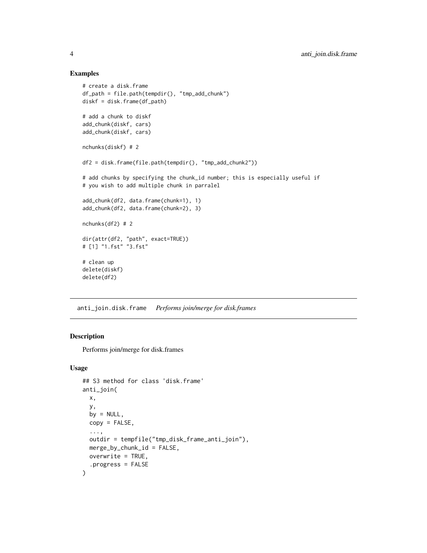#### Examples

```
# create a disk.frame
df_path = file.path(tempdir(), "tmp_add_chunk")
diskf = disk.frame(df_path)
# add a chunk to diskf
add_chunk(diskf, cars)
add_chunk(diskf, cars)
nchunks(diskf) # 2
df2 = disk.frame(file.path(tempdir(), "tmp_add_chunk2"))
# add chunks by specifying the chunk_id number; this is especially useful if
# you wish to add multiple chunk in parralel
add_chunk(df2, data.frame(chunk=1), 1)
add_chunk(df2, data.frame(chunk=2), 3)
nchunks(df2) # 2
dir(attr(df2, "path", exact=TRUE))
# [1] "1.fst" "3.fst"
# clean up
delete(diskf)
delete(df2)
```
anti\_join.disk.frame *Performs join/merge for disk.frames*

#### Description

Performs join/merge for disk.frames

```
## S3 method for class 'disk.frame'
anti_join(
 x,
 y,
 by = NULL,copy = FALSE,...,
 outdir = tempfile("tmp_disk_frame_anti_join"),
 merge_by_chunk_id = FALSE,
 overwrite = TRUE,
  .progress = FALSE
\mathcal{E}
```
<span id="page-3-0"></span>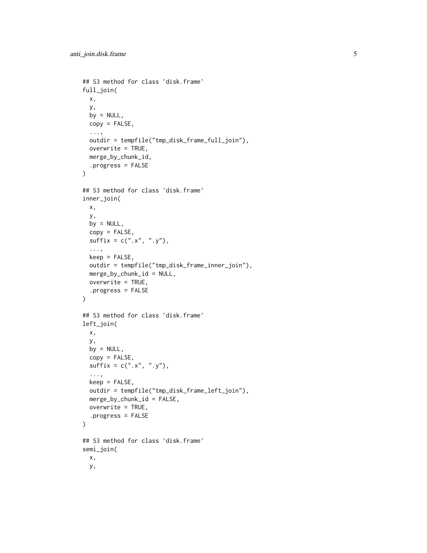```
## S3 method for class 'disk.frame'
full_join(
 x,
 y,
 by = NULL,
 copy = FALSE,...,
 outdir = tempfile("tmp_disk_frame_full_join"),
 overwrite = TRUE,
 merge_by_chunk_id,
  .progress = FALSE
)
## S3 method for class 'disk.frame'
inner_join(
 x,
 y,
 by = NULL,
 copy = FALSE,
 sufficient = c("x", "y"),
  ...,
 keep = FALSE,
 outdir = tempfile("tmp_disk_frame_inner_join"),
 merge_by_chunk_id = NULL,
 overwrite = TRUE,
  .progress = FALSE
)
## S3 method for class 'disk.frame'
left_join(
 x,
 y,
 by = NULL,
 copy = FALSE,
 sufficient = c("x", "y"),...,
 keep = FALSE,outdir = tempfile("tmp_disk_frame_left_join"),
 merge_by_chunk_id = FALSE,
 overwrite = TRUE,
  .progress = FALSE
\lambda## S3 method for class 'disk.frame'
semi_join(
 x,
 y,
```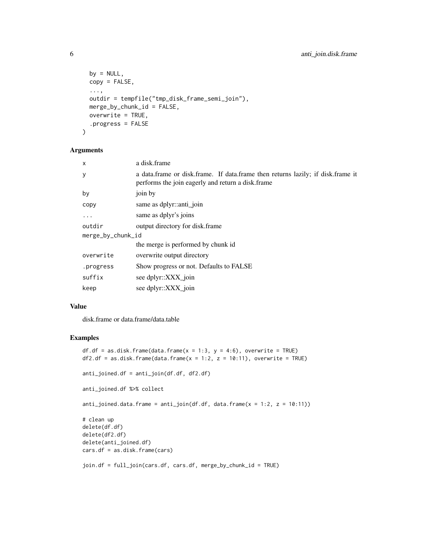```
by = NULL,
 copy = FALSE,
  ...,
 outdir = tempfile("tmp_disk_frame_semi_join"),
 merge_by_chunk_id = FALSE,
 overwrite = TRUE,
  .progress = FALSE
\lambda
```
# Arguments

| x                 | a disk.frame                                                                                                                          |  |  |  |
|-------------------|---------------------------------------------------------------------------------------------------------------------------------------|--|--|--|
| У                 | a data frame or disk frame. If data frame then returns lazily; if disk frame it<br>performs the join eagerly and return a disk. frame |  |  |  |
| by                | join by                                                                                                                               |  |  |  |
| copy              | same as dplyr::anti_join                                                                                                              |  |  |  |
| $\ddots$ .        | same as dplyr's joins                                                                                                                 |  |  |  |
| outdir            | output directory for disk.frame                                                                                                       |  |  |  |
| merge_by_chunk_id |                                                                                                                                       |  |  |  |
|                   | the merge is performed by chunk id                                                                                                    |  |  |  |
| overwrite         | overwrite output directory                                                                                                            |  |  |  |
| .progress         | Show progress or not. Defaults to FALSE                                                                                               |  |  |  |
| suffix            | see dplyr::XXX join                                                                                                                   |  |  |  |
| keep              | see dplyr::XXX_join                                                                                                                   |  |  |  |

#### Value

disk.frame or data.frame/data.table

#### Examples

```
df.df = as.disk.frame(data.frame(x = 1:3, y = 4:6), overwrite = TRUE)
df2.df = as.disk.frame(data.frame(x = 1:2, z = 10:11), overwrite = TRUE)anti_joined.df = anti_join(df.df, df2.df)
anti_joined.df %>% collect
anti_joined.data.frame = anti\_join(df. df, data. frame(x = 1:2, z = 10:11))# clean up
delete(df.df)
delete(df2.df)
delete(anti_joined.df)
cars.df = as.disk.frame(cars)
join.df = full_join(cars.df, cars.df, merge_by_chunk_id = TRUE)
```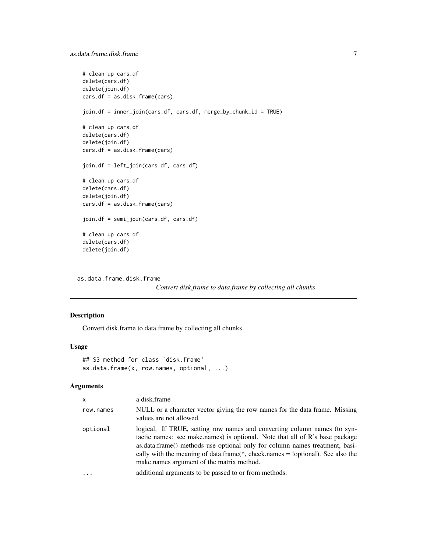```
# clean up cars.df
delete(cars.df)
delete(join.df)
cars.df = as.disk.frame(cars)
join.df = inner_join(cars.df, cars.df, merge_by_chunk_id = TRUE)
# clean up cars.df
delete(cars.df)
delete(join.df)
cars.df = as.disk.frame(cars)
join.df = left_join(cars.df, cars.df)
# clean up cars.df
delete(cars.df)
delete(join.df)
cars.df = as.disk.frame(cars)
join.df = semi_join(cars.df, cars.df)
# clean up cars.df
delete(cars.df)
delete(join.df)
```

```
as.data.frame.disk.frame
```
*Convert disk.frame to data.frame by collecting all chunks*

# Description

Convert disk.frame to data.frame by collecting all chunks

#### Usage

```
## S3 method for class 'disk.frame'
as.data.frame(x, row.names, optional, ...)
```

| $\mathsf{x}$ | a disk.frame                                                                                                                                                                                                                                                                                                                                                               |
|--------------|----------------------------------------------------------------------------------------------------------------------------------------------------------------------------------------------------------------------------------------------------------------------------------------------------------------------------------------------------------------------------|
| row.names    | NULL or a character vector giving the row names for the data frame. Missing<br>values are not allowed.                                                                                                                                                                                                                                                                     |
| optional     | logical. If TRUE, setting row names and converting column names (to syn-<br>tactic names: see make.names) is optional. Note that all of R's base package<br>as.data.frame() methods use optional only for column names treatment, basi-<br>cally with the meaning of data.frame( $*$ , check.names = !optional). See also the<br>make names argument of the matrix method. |
| $\ddots$     | additional arguments to be passed to or from methods.                                                                                                                                                                                                                                                                                                                      |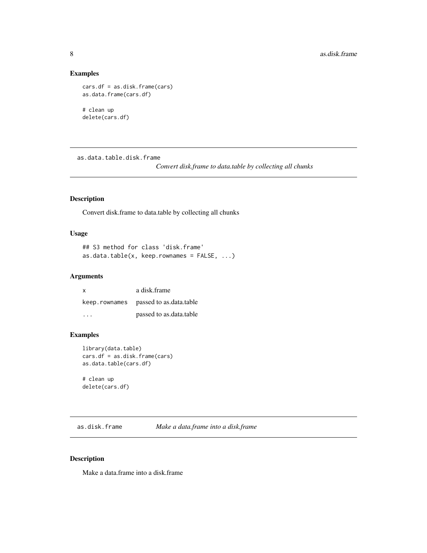# Examples

```
cars.df = as.disk.frame(cars)
as.data.frame(cars.df)
```
# clean up delete(cars.df)

as.data.table.disk.frame

*Convert disk.frame to data.table by collecting all chunks*

# Description

Convert disk.frame to data.table by collecting all chunks

#### Usage

```
## S3 method for class 'disk.frame'
as.data.table(x, keep.rownames = FALSE, ...)
```
# Arguments

| $\mathsf{x}$  | a disk.frame            |
|---------------|-------------------------|
| keep.rownames | passed to as.data.table |
| .             | passed to as.data.table |

#### Examples

```
library(data.table)
cars.df = as.disk.frame(cars)
as.data.table(cars.df)
```
# clean up delete(cars.df)

as.disk.frame *Make a data.frame into a disk.frame*

#### Description

Make a data.frame into a disk.frame

<span id="page-7-0"></span>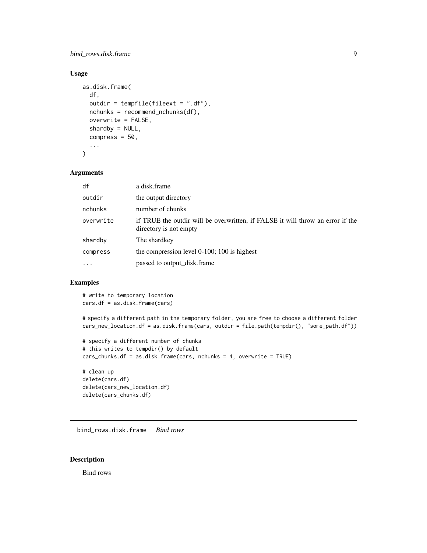# <span id="page-8-0"></span>bind\_rows.disk.frame 9

# Usage

```
as.disk.frame(
  df,
  outdir = tempfile(fileext = ".df"),
  nchunks = recommend_nchunks(df),
  overwrite = FALSE,
  shardby = NULL,compress = 50,
  ...
\mathcal{L}
```
#### Arguments

| df        | a disk.frame                                                                                             |
|-----------|----------------------------------------------------------------------------------------------------------|
| outdir    | the output directory                                                                                     |
| nchunks   | number of chunks                                                                                         |
| overwrite | if TRUE the outdir will be overwritten, if FALSE it will throw an error if the<br>directory is not empty |
| shardby   | The shardkey                                                                                             |
| compress  | the compression level $0-100$ ; 100 is highest                                                           |
| $\cdots$  | passed to output_disk.frame                                                                              |

# Examples

# write to temporary location cars.df = as.disk.frame(cars)

```
# specify a different path in the temporary folder, you are free to choose a different folder
cars_new_location.df = as.disk.frame(cars, outdir = file.path(tempdir(), "some_path.df"))
```

```
# specify a different number of chunks
# this writes to tempdir() by default
cars_chunks.df = as.disk.frame(cars, nchunks = 4, overwrite = TRUE)
```
# clean up delete(cars.df) delete(cars\_new\_location.df) delete(cars\_chunks.df)

bind\_rows.disk.frame *Bind rows*

#### Description

Bind rows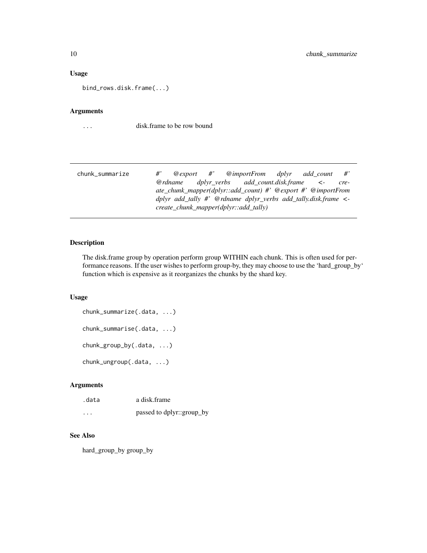#### <span id="page-9-0"></span>Usage

bind\_rows.disk.frame(...)

# Arguments

... disk.frame to be row bound

| chunk_summarize | $#^{\prime}$ |                                            |  |  | $@$ export #' $@$ importFrom dplyr add count                        | $\#$ |
|-----------------|--------------|--------------------------------------------|--|--|---------------------------------------------------------------------|------|
|                 |              |                                            |  |  | $\omega$ rdname dplyr verbs add count.disk.frame $\prec$ -          | cre- |
|                 |              |                                            |  |  | $ate\_chunk\_mapper(dplyr::add\_count)$ #' @export #' @importFrom   |      |
|                 |              |                                            |  |  | dplyr add_tally #' @rdname dplyr_verbs add_tally.disk.frame $\lt$ - |      |
|                 |              | $create\_chunk\_mapper(dplyr::add\_tally)$ |  |  |                                                                     |      |

# Description

The disk.frame group by operation perform group WITHIN each chunk. This is often used for performance reasons. If the user wishes to perform group-by, they may choose to use the 'hard\_group\_by' function which is expensive as it reorganizes the chunks by the shard key.

#### Usage

```
chunk_summarize(.data, ...)
chunk_summarise(.data, ...)
chunk_group_by(.data, ...)
chunk_ungroup(.data, ...)
```
# Arguments

| .data | a disk frame              |
|-------|---------------------------|
| .     | passed to dplyr::group_by |

#### See Also

hard\_group\_by group\_by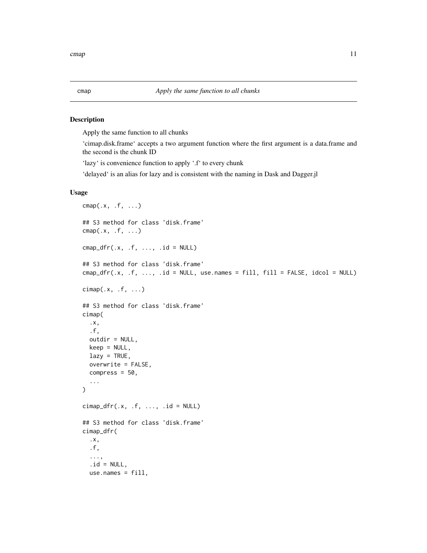#### Description

Apply the same function to all chunks

'cimap.disk.frame' accepts a two argument function where the first argument is a data.frame and the second is the chunk ID

'lazy' is convenience function to apply '.f' to every chunk

'delayed' is an alias for lazy and is consistent with the naming in Dask and Dagger.jl

```
\text{cmap}(.x, .f, . . .)## S3 method for class 'disk.frame'
cmap(.x, .f, . . .)cmap_dfr(.x, .f, . . ., .id = NULL)## S3 method for class 'disk.frame'
cmp\_dfr(x, f, ..., id = NULL, use.name = fill, fill = FALSE, idcol = NULL)cimap(.x, .f, ....)## S3 method for class 'disk.frame'
cimap(
  .x,
  .f,
 outdir = NULL,keep = NULL,lazy = TRUE,overwrite = FALSE,
  compress = 50,
  ...
)
cimap\_dfr(.x, .f, . . ., .id = NULL)## S3 method for class 'disk.frame'
cimap_dfr(
  .x,
  .f,
  ...,
  .id = NULL,use.names = fill,
```
<span id="page-10-0"></span>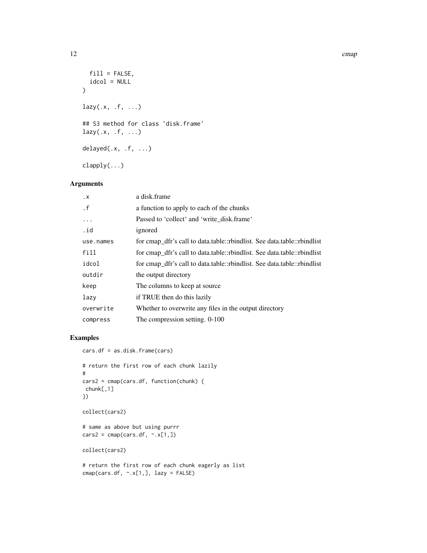#### 12 cmap

```
fill = FALSE,idcol = NULL
\lambdalazy(.x, .f, . . .)## S3 method for class 'disk.frame'
lazy(.x, .f, . . .)delayed(.x, .f, ...)
clapply(...)
```
#### Arguments

| . X       | a disk.frame                                                            |
|-----------|-------------------------------------------------------------------------|
| $\cdot$ f | a function to apply to each of the chunks                               |
| .         | Passed to 'collect' and 'write disk.frame'                              |
| .id       | ignored                                                                 |
| use.names | for cmap_dfr's call to data.table::rbindlist. See data.table::rbindlist |
| fill      | for cmap_dfr's call to data.table::rbindlist. See data.table::rbindlist |
| idcol     | for cmap_dfr's call to data.table::rbindlist. See data.table::rbindlist |
| outdir    | the output directory                                                    |
| keep      | The columns to keep at source                                           |
| lazy      | if TRUE then do this lazily                                             |
| overwrite | Whether to overwrite any files in the output directory                  |
| compress  | The compression setting. 0-100                                          |

# Examples

```
cars.df = as.disk.frame(cars)
# return the first row of each chunk lazily
#
cars2 = cmap(cars.df, function(chunk) {
chunk[,1]
})
collect(cars2)
# same as above but using purrr
cars2 = camp(cars.df, ~ x[1,])collect(cars2)
# return the first row of each chunk eagerly as list
cmap(cars.df, \sim.x[1,], lazy = FALSE)
```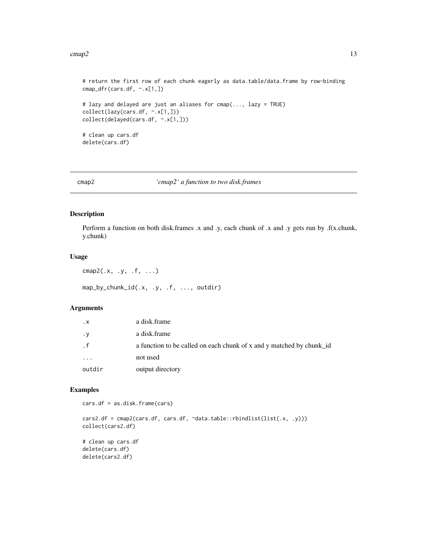#### <span id="page-12-0"></span> $\text{cm}$ ap2 13

```
# return the first row of each chunk eagerly as data.table/data.frame by row-binding
cmap_dfr(cars.df, ~.x[1,])
# lazy and delayed are just an aliases for cmap(..., lazy = TRUE)
collect(lazy(cars.df, ~.x[1,]))
collect(delayed(cars.df, ~.x[1,]))
# clean up cars.df
delete(cars.df)
```
cmap2 *'cmap2' a function to two disk.frames*

# Description

Perform a function on both disk.frames .x and .y, each chunk of .x and .y gets run by .f(x.chunk, y.chunk)

#### Usage

 $\text{cmap2}(.x, .y, .f, . . .)$ 

map\_by\_chunk\_id(.x, .y, .f, ..., outdir)

# Arguments

| $\cdot$ X | a disk.frame                                                         |
|-----------|----------------------------------------------------------------------|
| $\cdot$ y | a disk.frame                                                         |
| . f       | a function to be called on each chunk of x and y matched by chunk_id |
| .         | not used                                                             |
| outdir    | output directory                                                     |

#### Examples

cars.df = as.disk.frame(cars)

cars2.df = cmap2(cars.df, cars.df, ~data.table::rbindlist(list(.x, .y))) collect(cars2.df) # clean up cars.df

delete(cars.df) delete(cars2.df)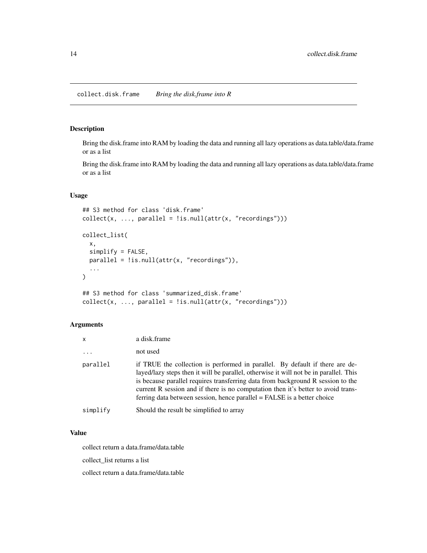#### <span id="page-13-0"></span>Description

Bring the disk.frame into RAM by loading the data and running all lazy operations as data.table/data.frame or as a list

Bring the disk.frame into RAM by loading the data and running all lazy operations as data.table/data.frame or as a list

#### Usage

```
## S3 method for class 'disk.frame'
collect(x, ..., parallel = !is.null(attr(x, "recordings")))collect_list(
  x,
  simplify = FALSE,
 parallel = !is.null(attr(x, "recordings")),
  ...
)
## S3 method for class 'summarized_disk.frame'
collect(x, ..., parallel = !is.null(attr(x, "recordings")))
```
#### Arguments

| $\mathsf{x}$            | a disk.frame                                                                                                                                                                                                                                                                                                                                                                                                             |
|-------------------------|--------------------------------------------------------------------------------------------------------------------------------------------------------------------------------------------------------------------------------------------------------------------------------------------------------------------------------------------------------------------------------------------------------------------------|
| $\cdot$ $\cdot$ $\cdot$ | not used                                                                                                                                                                                                                                                                                                                                                                                                                 |
| parallel                | if TRUE the collection is performed in parallel. By default if there are de-<br>layed/lazy steps then it will be parallel, otherwise it will not be in parallel. This<br>is because parallel requires transferring data from background R session to the<br>current R session and if there is no computation then it's better to avoid trans-<br>ferring data between session, hence parallel = FALSE is a better choice |
| simplify                | Should the result be simplified to array                                                                                                                                                                                                                                                                                                                                                                                 |

#### Value

collect return a data.frame/data.table

collect\_list returns a list

collect return a data.frame/data.table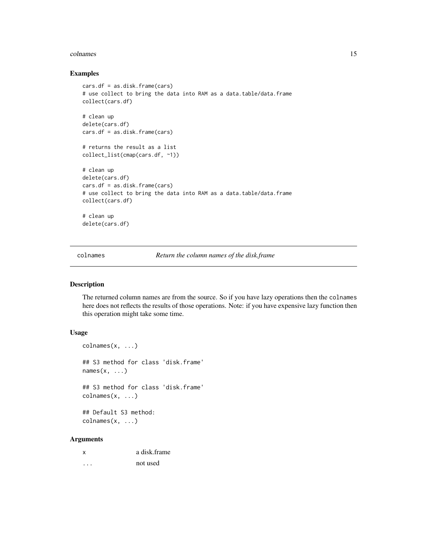#### <span id="page-14-0"></span>colnames and the colnames of the colnames of the colnames of the colnames of the colnames of the colnames of the colnames of the colnames of the colnames of the colnames of the colnames of the colnames of the colnames of t

#### Examples

```
cars.df = as.disk.frame(cars)
# use collect to bring the data into RAM as a data.table/data.frame
collect(cars.df)
# clean up
delete(cars.df)
cars.df = as.disk.frame(cars)
# returns the result as a list
collect_list(cmap(cars.df, ~1))
# clean up
delete(cars.df)
cars.df = as.disk.frame(cars)
# use collect to bring the data into RAM as a data.table/data.frame
collect(cars.df)
# clean up
delete(cars.df)
```
colnames *Return the column names of the disk.frame*

# Description

The returned column names are from the source. So if you have lazy operations then the colnames here does not reflects the results of those operations. Note: if you have expensive lazy function then this operation might take some time.

#### Usage

```
colnames(x, \ldots)## S3 method for class 'disk.frame'
names(x, \ldots)## S3 method for class 'disk.frame'
colnames(x, \ldots)
```
## Default S3 method: colnames(x, ...)

| $\boldsymbol{\mathsf{x}}$ | a disk.frame |
|---------------------------|--------------|
| .                         | not used     |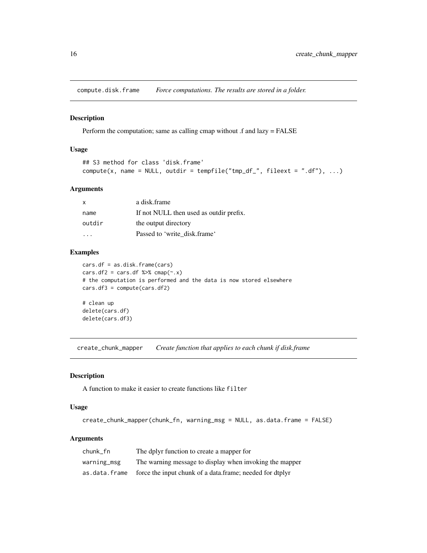<span id="page-15-0"></span>compute.disk.frame *Force computations. The results are stored in a folder.*

#### Description

Perform the computation; same as calling cmap without .f and lazy = FALSE

#### Usage

```
## S3 method for class 'disk.frame'
compute(x, name = NULL, outdir = template("tmp_df_", fileext = ",df"), ...)
```
#### Arguments

| $\mathsf{x}$ | a disk.frame                            |
|--------------|-----------------------------------------|
| name         | If not NULL then used as outdir prefix. |
| outdir       | the output directory                    |
|              | Passed to 'write disk.frame'            |

#### Examples

```
cars.df = as.disk.frame(cars)
cars.df2 = cars.df \frac{1}{2} cmap(~.x)
# the computation is performed and the data is now stored elsewhere
cars.df3 = compute(cars.df2)# clean up
delete(cars.df)
delete(cars.df3)
```
create\_chunk\_mapper *Create function that applies to each chunk if disk.frame*

#### Description

A function to make it easier to create functions like filter

#### Usage

```
create_chunk_mapper(chunk_fn, warning_msg = NULL, as.data.frame = FALSE)
```

| chunk fn      | The dplyr function to create a mapper for                |
|---------------|----------------------------------------------------------|
| warning_msg   | The warning message to display when invoking the mapper  |
| as.data.frame | force the input chunk of a data.frame; needed for dtplyr |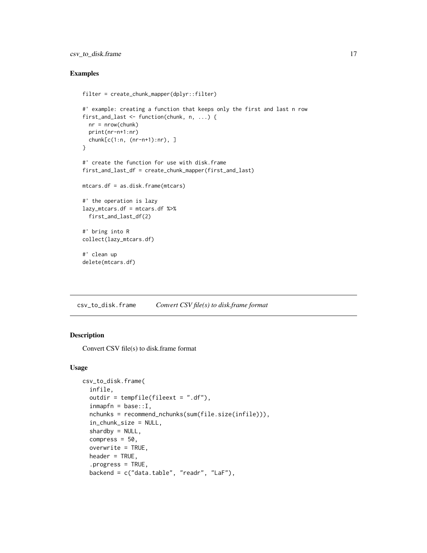# <span id="page-16-0"></span>csv\_to\_disk.frame 17

#### Examples

```
filter = create_chunk_mapper(dplyr::filter)
#' example: creating a function that keeps only the first and last n row
first_and_last <- function(chunk, n, ...) {
  nr = nrow(chark)print(nr-n+1:nr)
  chunk[c(1:n, (nr-n+1):nr), ]
}
#' create the function for use with disk.frame
first_and_last_df = create_chunk_mapper(first_and_last)
mtcars.df = as.disk.frame(mtcars)
#' the operation is lazy
lazy_mtcars.df = mtcars.df %>%
  first_and_last_df(2)
#' bring into R
collect(lazy_mtcars.df)
#' clean up
delete(mtcars.df)
```
<span id="page-16-1"></span>csv\_to\_disk.frame *Convert CSV file(s) to disk.frame format*

#### Description

Convert CSV file(s) to disk.frame format

```
csv_to_disk.frame(
  infile,
  outdir = tempfile(fileext = ".df),
  inmapfn = base::I,nchunks = recommend_nchunks(sum(file.size(infile))),
  in_chunk_size = NULL,
  shardby = NULL,compress = 50,
  overwrite = TRUE,
 header = TRUE,.progress = TRUE,
  backend = c("data.table", "readr", "LaF"),
```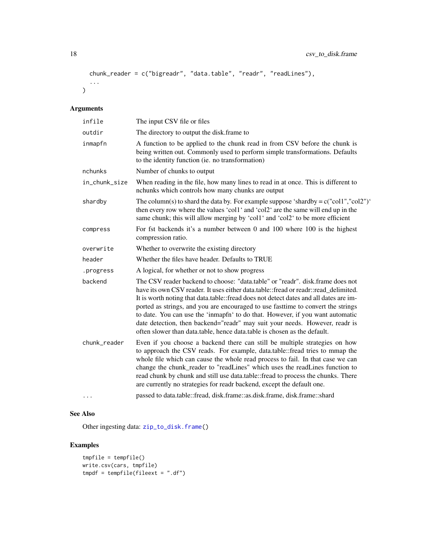```
chunk_reader = c("bigreadr", "data.table", "readr", "readLines"),
  ...
\mathcal{L}
```
# Arguments

| infile        | The input CSV file or files                                                                                                                                                                                                                                                                                                                                                                                                                                                                                                                                                                     |
|---------------|-------------------------------------------------------------------------------------------------------------------------------------------------------------------------------------------------------------------------------------------------------------------------------------------------------------------------------------------------------------------------------------------------------------------------------------------------------------------------------------------------------------------------------------------------------------------------------------------------|
| outdir        | The directory to output the disk.frame to                                                                                                                                                                                                                                                                                                                                                                                                                                                                                                                                                       |
| inmapfn       | A function to be applied to the chunk read in from CSV before the chunk is<br>being written out. Commonly used to perform simple transformations. Defaults<br>to the identity function (ie. no transformation)                                                                                                                                                                                                                                                                                                                                                                                  |
| nchunks       | Number of chunks to output                                                                                                                                                                                                                                                                                                                                                                                                                                                                                                                                                                      |
| in_chunk_size | When reading in the file, how many lines to read in at once. This is different to<br>nchunks which controls how many chunks are output                                                                                                                                                                                                                                                                                                                                                                                                                                                          |
| shardby       | The column(s) to shard the data by. For example suppose 'shardby = $c("coll", "col2")'$<br>then every row where the values 'coll' and 'coll' are the same will end up in the<br>same chunk; this will allow merging by 'coll' and 'col2' to be more efficient                                                                                                                                                                                                                                                                                                                                   |
| compress      | For fst backends it's a number between 0 and 100 where 100 is the highest<br>compression ratio.                                                                                                                                                                                                                                                                                                                                                                                                                                                                                                 |
| overwrite     | Whether to overwrite the existing directory                                                                                                                                                                                                                                                                                                                                                                                                                                                                                                                                                     |
| header        | Whether the files have header. Defaults to TRUE                                                                                                                                                                                                                                                                                                                                                                                                                                                                                                                                                 |
| .progress     | A logical, for whether or not to show progress                                                                                                                                                                                                                                                                                                                                                                                                                                                                                                                                                  |
| backend       | The CSV reader backend to choose: "data.table" or "readr". disk.frame does not<br>have its own CSV reader. It uses either data.table::fread or readr::read_delimited.<br>It is worth noting that data.table::fread does not detect dates and all dates are im-<br>ported as strings, and you are encouraged to use fast time to convert the strings<br>to date. You can use the 'inmapfn' to do that. However, if you want automatic<br>date detection, then backend="readr" may suit your needs. However, readr is<br>often slower than data.table, hence data.table is chosen as the default. |
| chunk_reader  | Even if you choose a backend there can still be multiple strategies on how<br>to approach the CSV reads. For example, data.table::fread tries to mmap the<br>whole file which can cause the whole read process to fail. In that case we can<br>change the chunk_reader to "readLines" which uses the readLines function to<br>read chunk by chunk and still use data.table::fread to process the chunks. There<br>are currently no strategies for readr backend, except the default one.                                                                                                        |
| .             | passed to data.table::fread, disk.frame::as.disk.frame, disk.frame::shard                                                                                                                                                                                                                                                                                                                                                                                                                                                                                                                       |

# See Also

Other ingesting data: [zip\\_to\\_disk.frame\(](#page-47-1))

# Examples

```
tmpfile = tempfile()
write.csv(cars, tmpfile)
tmpdf = tempfile(fileext = "df")
```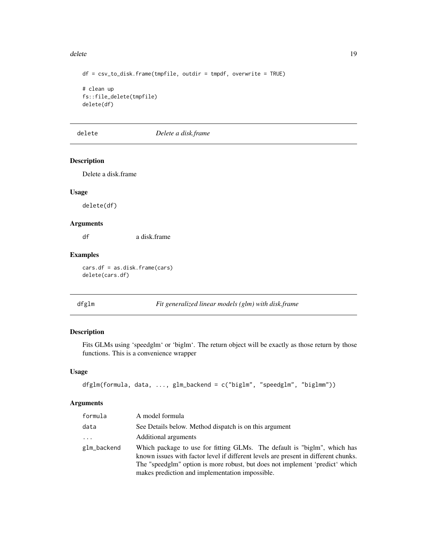#### <span id="page-18-0"></span>delete the contract of the contract of the contract of the contract of the contract of the contract of the contract of the contract of the contract of the contract of the contract of the contract of the contract of the con

```
df = \text{csv_to_disk}. frame(tmpfile, outdir = tmpdf, overwrite = TRUE)
# clean up
fs::file_delete(tmpfile)
delete(df)
```
delete *Delete a disk.frame*

# Description

Delete a disk.frame

#### Usage

delete(df)

#### Arguments

df a disk.frame

#### Examples

cars.df = as.disk.frame(cars) delete(cars.df)

# <span id="page-18-1"></span>dfglm *Fit generalized linear models (glm) with disk.frame*

# Description

Fits GLMs using 'speedglm' or 'biglm'. The return object will be exactly as those return by those functions. This is a convenience wrapper

#### Usage

```
dfglm(formula, data, ..., glm_backend = c("biglm", "speedglm", "biglmm"))
```

| formula     | A model formula                                                                                                                                                                                                                                                                                    |
|-------------|----------------------------------------------------------------------------------------------------------------------------------------------------------------------------------------------------------------------------------------------------------------------------------------------------|
| data        | See Details below. Method dispatch is on this argument                                                                                                                                                                                                                                             |
| .           | Additional arguments                                                                                                                                                                                                                                                                               |
| glm_backend | Which package to use for fitting GLMs. The default is "biglm", which has<br>known issues with factor level if different levels are present in different chunks.<br>The "speedglm" option is more robust, but does not implement 'predict' which<br>makes prediction and implementation impossible. |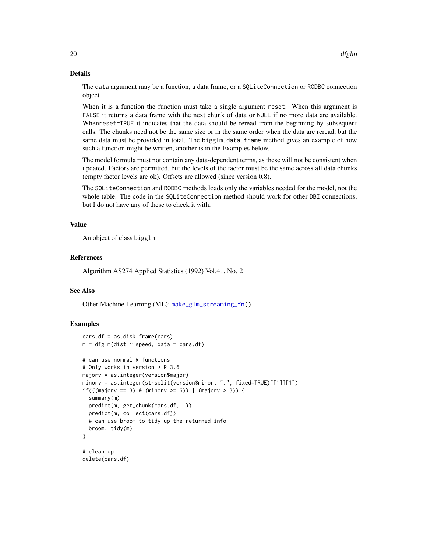#### Details

The data argument may be a function, a data frame, or a SQLiteConnection or RODBC connection object.

When it is a function the function must take a single argument reset. When this argument is FALSE it returns a data frame with the next chunk of data or NULL if no more data are available. Whenreset=TRUE it indicates that the data should be reread from the beginning by subsequent calls. The chunks need not be the same size or in the same order when the data are reread, but the same data must be provided in total. The bigglm.data.frame method gives an example of how such a function might be written, another is in the Examples below.

The model formula must not contain any data-dependent terms, as these will not be consistent when updated. Factors are permitted, but the levels of the factor must be the same across all data chunks (empty factor levels are ok). Offsets are allowed (since version 0.8).

The SQLiteConnection and RODBC methods loads only the variables needed for the model, not the whole table. The code in the SQLiteConnection method should work for other DBI connections, but I do not have any of these to check it with.

#### Value

An object of class bigglm

# References

Algorithm AS274 Applied Statistics (1992) Vol.41, No. 2

#### See Also

Other Machine Learning (ML): [make\\_glm\\_streaming\\_fn\(](#page-27-1))

#### Examples

```
cars.df = as.disk.frame(cars)
m = dfglm(dist ~ p; speed, data = cars.df)# can use normal R functions
# Only works in version > R 3.6
majorv = as.integer(version$major)
minorv = as.integer(strsplit(version$minor, ".", fixed=TRUE)[[1]][1])
if(((majorv == 3) & (minorv >= 6)) | (majorv > 3)) {
 summary(m)
 predict(m, get_chunk(cars.df, 1))
 predict(m, collect(cars.df))
 # can use broom to tidy up the returned info
 broom::tidy(m)
}
# clean up
delete(cars.df)
```
<span id="page-19-0"></span>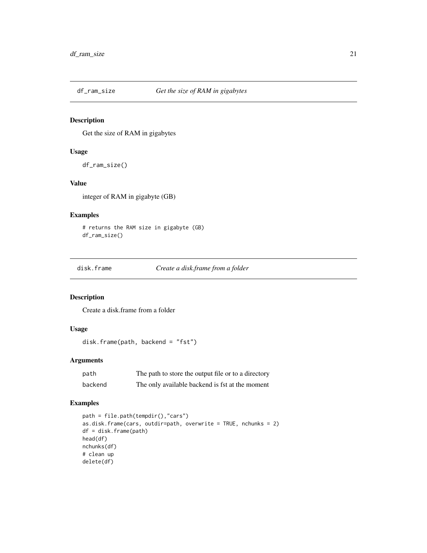<span id="page-20-0"></span>

# Description

Get the size of RAM in gigabytes

# Usage

```
df_ram_size()
```
### Value

integer of RAM in gigabyte (GB)

# Examples

```
# returns the RAM size in gigabyte (GB)
df_ram_size()
```
disk.frame *Create a disk.frame from a folder*

# Description

Create a disk.frame from a folder

# Usage

disk.frame(path, backend = "fst")

# Arguments

| path    | The path to store the output file or to a directory |
|---------|-----------------------------------------------------|
| backend | The only available backend is fst at the moment     |

# Examples

```
path = file.path(tempdir(),"cars")
as.disk.frame(cars, outdir=path, overwrite = TRUE, nchunks = 2)
df = disk.frame(path)
head(df)
nchunks(df)
# clean up
delete(df)
```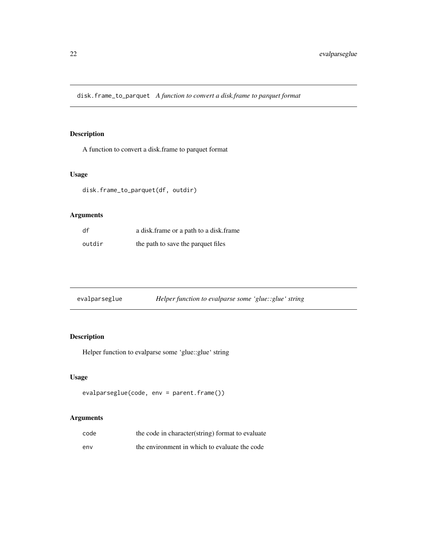<span id="page-21-0"></span>disk.frame\_to\_parquet *A function to convert a disk.frame to parquet format*

# Description

A function to convert a disk.frame to parquet format

#### Usage

disk.frame\_to\_parquet(df, outdir)

# Arguments

| df     | a disk. frame or a path to a disk. frame |
|--------|------------------------------------------|
| outdir | the path to save the parquet files       |

| evalparseglue | Helper function to evalparse some 'glue::glue' string |  |  |
|---------------|-------------------------------------------------------|--|--|
|               |                                                       |  |  |

# Description

Helper function to evalparse some 'glue::glue' string

# Usage

```
evalparseglue(code, env = parent.frame())
```

| code | the code in character (string) format to evaluate |
|------|---------------------------------------------------|
| env  | the environment in which to evaluate the code     |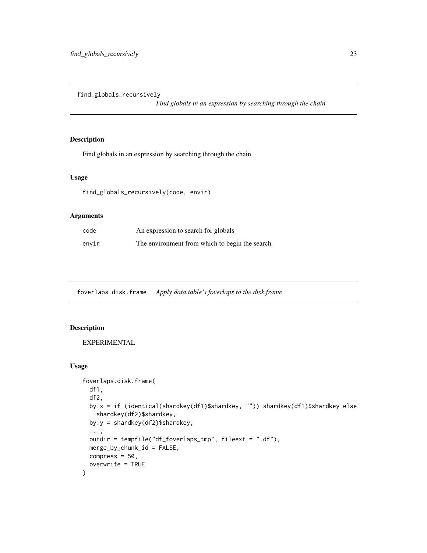<span id="page-22-0"></span>find\_globals\_recursively

*Find globals in an expression by searching through the chain*

# Description

Find globals in an expression by searching through the chain

#### Usage

```
find_globals_recursively(code, envir)
```
# Arguments

| code  | An expression to search for globals            |
|-------|------------------------------------------------|
| envir | The environment from which to begin the search |

foverlaps.disk.frame *Apply data.table's foverlaps to the disk.frame*

#### Description

EXPERIMENTAL

```
foverlaps.disk.frame(
 df1,
  df2,
 by.x = if (identical(shardkey(df1)$shardkey, "")) shardkey(df1)$shardkey else
   shardkey(df2)$shardkey,
 by.y = shardkey(df2)$shardkey,
  ...,
 outdir = tempfile("df_foverlaps_tmp", fileext = ".df"),
 merge_by_chunk_id = FALSE,
 compress = 50,
  overwrite = TRUE
\mathcal{E}
```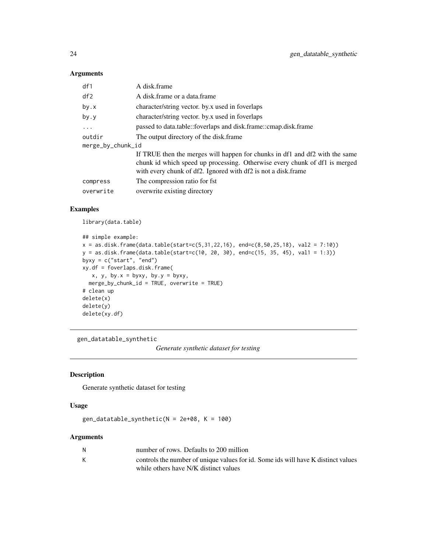#### <span id="page-23-0"></span>Arguments

| df1               | A disk.frame                                                                                                                                |
|-------------------|---------------------------------------------------------------------------------------------------------------------------------------------|
| df2               | A disk frame or a data frame                                                                                                                |
| by.x              | character/string vector. by x used in foverlaps                                                                                             |
| by.y              | character/string vector. by x used in foverlaps                                                                                             |
| $\ddotsc$         | passed to data.table::foverlaps and disk.frame::cmap.disk.frame                                                                             |
| outdir            | The output directory of the disk, frame                                                                                                     |
| merge_by_chunk_id |                                                                                                                                             |
|                   | If TRUE then the merges will happen for chunks in df1 and df2 with the same                                                                 |
|                   | chunk id which speed up processing. Otherwise every chunk of df1 is merged<br>with every chunk of df2. Ignored with df2 is not a disk.frame |
| compress          | The compression ratio for fst.                                                                                                              |
| overwrite         | overwrite existing directory                                                                                                                |
|                   |                                                                                                                                             |

#### Examples

library(data.table)

```
## simple example:
x = as.disk.frame(data.table(start=c(5,31,22,16), end=c(8,50,25,18), val2 = 7:10))y = as.disk.frame(data.table(start=c(10, 20, 30), end=c(15, 35, 45), val1 = 1:3))
byxy = c("start", "end")
xy.df = foverlaps.disk.frame(
  x, y, by.x = byxy, by.y = byxy,merge_by_chunk_id = TRUE, overwrite = TRUE)
# clean up
delete(x)
delete(y)
delete(xy.df)
```
gen\_datatable\_synthetic

*Generate synthetic dataset for testing*

# Description

Generate synthetic dataset for testing

#### Usage

gen\_datatable\_synthetic( $N = 2e+08$ ,  $K = 100$ )

| N | number of rows. Defaults to 200 million                                           |
|---|-----------------------------------------------------------------------------------|
|   | controls the number of unique values for id. Some ids will have K distinct values |
|   | while others have N/K distinct values                                             |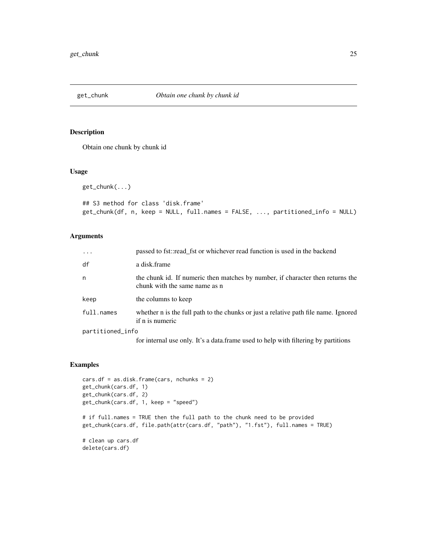<span id="page-24-0"></span>

#### Description

Obtain one chunk by chunk id

#### Usage

get\_chunk(...)

```
## S3 method for class 'disk.frame'
get_chunk(df, n, keep = NULL, full.names = FALSE, ..., partitioned_info = NULL)
```
# Arguments

| $\ddots$         | passed to fst::read fst or whichever read function is used in the backend                                       |
|------------------|-----------------------------------------------------------------------------------------------------------------|
| df               | a disk.frame                                                                                                    |
| n                | the chunk id. If numeric then matches by number, if character then returns the<br>chunk with the same name as n |
| keep             | the columns to keep                                                                                             |
| full.names       | whether n is the full path to the chunks or just a relative path file name. Ignored<br>if n is numeric          |
| partitioned_info |                                                                                                                 |
|                  |                                                                                                                 |

for internal use only. It's a data.frame used to help with filtering by partitions

#### Examples

```
cars.df = as.disk.frame(cars, nchunks = 2)
get_chunk(cars.df, 1)
get_chunk(cars.df, 2)
get_chunk(cars.df, 1, keep = "speed")
# if full.names = TRUE then the full path to the chunk need to be provided
get_chunk(cars.df, file.path(attr(cars.df, "path"), "1.fst"), full.names = TRUE)
# clean up cars.df
delete(cars.df)
```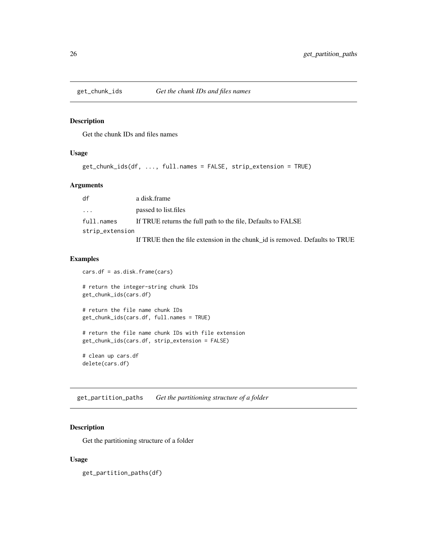<span id="page-25-0"></span>

### Description

Get the chunk IDs and files names

# Usage

```
get_chunk_ids(df, ..., full.names = FALSE, strip_extension = TRUE)
```
#### Arguments

| df                  | a disk.frame                                                                 |  |
|---------------------|------------------------------------------------------------------------------|--|
| $\cdot \cdot \cdot$ | passed to list files                                                         |  |
| full.names          | If TRUE returns the full path to the file, Defaults to FALSE                 |  |
| strip_extension     |                                                                              |  |
|                     | If TRUE then the file extension in the chunk_id is removed. Defaults to TRUE |  |

#### Examples

```
cars.df = as.disk.frame(cars)
# return the integer-string chunk IDs
get_chunk_ids(cars.df)
# return the file name chunk IDs
get_chunk_ids(cars.df, full.names = TRUE)
# return the file name chunk IDs with file extension
get_chunk_ids(cars.df, strip_extension = FALSE)
# clean up cars.df
delete(cars.df)
```
get\_partition\_paths *Get the partitioning structure of a folder*

# Description

Get the partitioning structure of a folder

#### Usage

get\_partition\_paths(df)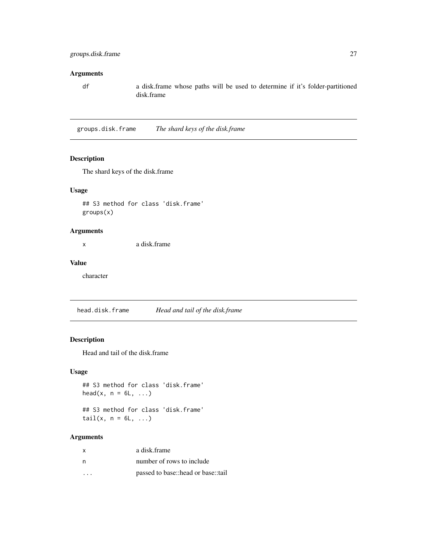#### <span id="page-26-0"></span>Arguments

df a disk.frame whose paths will be used to determine if it's folder-partitioned disk.frame

groups.disk.frame *The shard keys of the disk.frame*

#### Description

The shard keys of the disk.frame

# Usage

## S3 method for class 'disk.frame' groups(x)

#### Arguments

x a disk.frame

# Value

character

head.disk.frame *Head and tail of the disk.frame*

# Description

Head and tail of the disk.frame

# Usage

```
## S3 method for class 'disk.frame'
head(x, n = 6L, ...)
```
## S3 method for class 'disk.frame' tail $(x, n = 6L, ...)$ 

| X  | a disk frame                       |
|----|------------------------------------|
| n, | number of rows to include          |
| .  | passed to base::head or base::tail |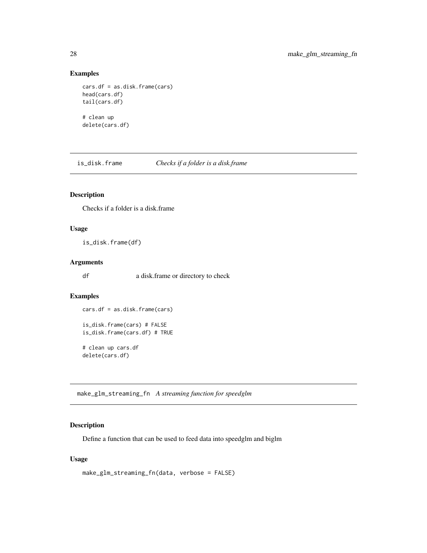### <span id="page-27-0"></span>Examples

```
cars.df = as.disk.frame(cars)
head(cars.df)
tail(cars.df)
# clean up
delete(cars.df)
```
is\_disk.frame *Checks if a folder is a disk.frame*

# Description

Checks if a folder is a disk.frame

#### Usage

is\_disk.frame(df)

#### Arguments

df a disk.frame or directory to check

# Examples

cars.df = as.disk.frame(cars)

```
is_disk.frame(cars) # FALSE
is_disk.frame(cars.df) # TRUE
```
# clean up cars.df delete(cars.df)

<span id="page-27-1"></span>make\_glm\_streaming\_fn *A streaming function for speedglm*

# Description

Define a function that can be used to feed data into speedglm and biglm

```
make_glm_streaming_fn(data, verbose = FALSE)
```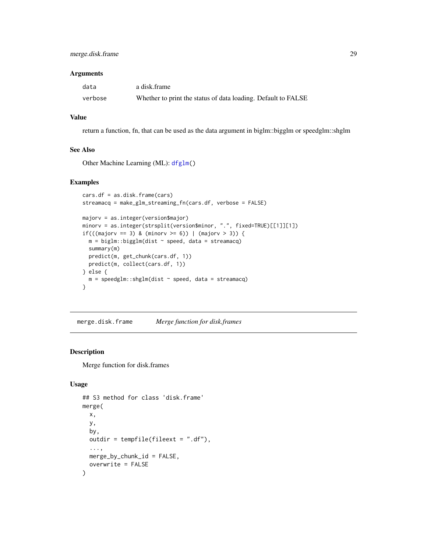#### <span id="page-28-0"></span>Arguments

| data    | a disk frame                                                  |
|---------|---------------------------------------------------------------|
| verbose | Whether to print the status of data loading. Default to FALSE |

#### Value

return a function, fn, that can be used as the data argument in biglm::bigglm or speedglm::shglm

#### See Also

Other Machine Learning (ML): [dfglm\(](#page-18-1))

#### Examples

```
cars.df = as.disk.frame(cars)
streamacq = make_glm_streaming_fn(cars.df, verbose = FALSE)
majorv = as.integer(version$major)
minorv = as.integer(strsplit(version$minor, ".", fixed=TRUE)[[1]][1])
if(((major == 3) & (minor >= 6)) | (major > 3))m = biglm::biggl(m(dist ~ p<br/>speed, data = streamacq)summary(m)
 predict(m, get_chunk(cars.df, 1))
 predict(m, collect(cars.df, 1))
} else {
  m = speedg1m::shg1m(dist ~ ~ speed, data = streamacq)}
```
merge.disk.frame *Merge function for disk.frames*

#### Description

Merge function for disk.frames

```
## S3 method for class 'disk.frame'
merge(
  x,
  y,
  by,
 outdir = tempfile(fileext = ".df),
  ...,
 merge_by_chunk_id = FALSE,
  overwrite = FALSE
)
```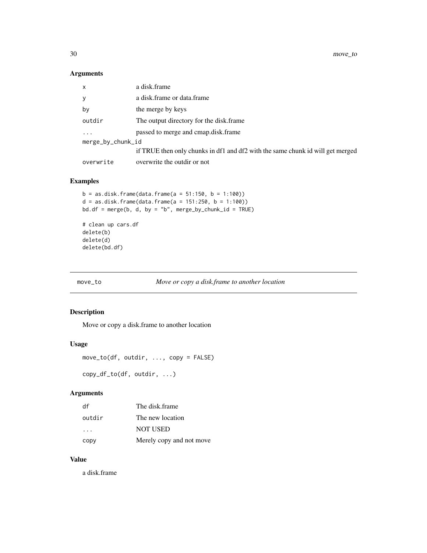<span id="page-29-0"></span>30 move\_to

# Arguments

| x                 | a disk.frame                                                                   |  |
|-------------------|--------------------------------------------------------------------------------|--|
| у                 | a disk.frame or data.frame                                                     |  |
| by                | the merge by keys                                                              |  |
| outdir            | The output directory for the disk. frame                                       |  |
| $\ddots$          | passed to merge and cmap.disk.frame                                            |  |
| merge_by_chunk_id |                                                                                |  |
|                   | if TRUE then only chunks in df1 and df2 with the same chunk id will get merged |  |
| overwrite         | overwrite the outdir or not                                                    |  |

# Examples

```
b = as.disk.frame(data.frame(a = 51:150, b = 1:100))d = as.disk.frame(data.frame(a = 151:250, b = 1:100))bd.df = merge(b, d, by = "b", merge_by_chunk_id = TRUE)# clean up cars.df
delete(b)
delete(d)
delete(bd.df)
```
move\_to *Move or copy a disk.frame to another location*

# Description

Move or copy a disk.frame to another location

#### Usage

```
move_to(df, outdir, ..., copy = FALSE)
```
copy\_df\_to(df, outdir, ...)

# Arguments

| df                   | The disk frame           |
|----------------------|--------------------------|
| outdir               | The new location         |
| $\sim$ $\sim$ $\sim$ | <b>NOT USED</b>          |
| copy                 | Merely copy and not move |

#### Value

a disk.frame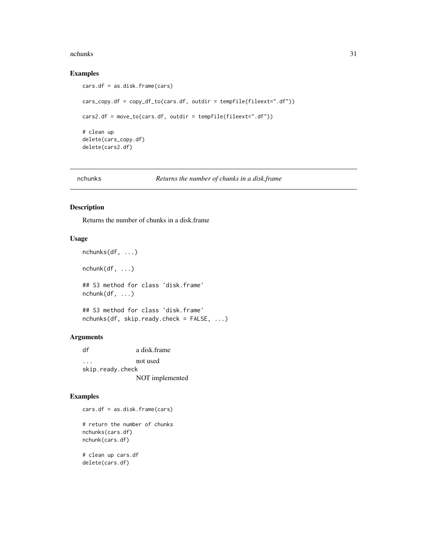#### <span id="page-30-0"></span>nchunks 31

### Examples

```
cars.df = as.disk.frame(cars)
cars_copy.df = copy_df_to(cars.df, outdir = tempfile(fileext=".df"))
cars2.df = move_to(cars.df, outdir = tempfile(fileext=".df"))
# clean up
delete(cars_copy.df)
delete(cars2.df)
```
#### nchunks *Returns the number of chunks in a disk.frame*

# Description

Returns the number of chunks in a disk.frame

# Usage

```
nchunks(df, ...)
nchunk(df, ...)## S3 method for class 'disk.frame'
nchunk(df, ...)
## S3 method for class 'disk.frame'
nchunks(df, skip.ready.check = FALSE, ...)
```
#### Arguments

df a disk.frame ... not used skip.ready.check NOT implemented

# Examples

cars.df = as.disk.frame(cars)

# return the number of chunks nchunks(cars.df) nchunk(cars.df)

# clean up cars.df delete(cars.df)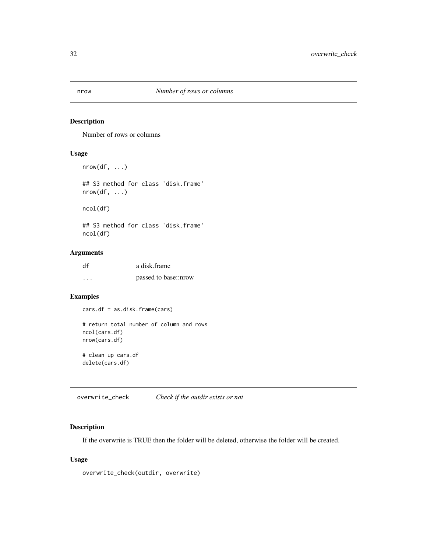<span id="page-31-0"></span>

# Description

Number of rows or columns

# Usage

```
nrow(df, \ldots)
```
## S3 method for class 'disk.frame' nrow(df, ...)

ncol(df)

## S3 method for class 'disk.frame' ncol(df)

# Arguments

| df | a disk frame         |
|----|----------------------|
| .  | passed to base::nrow |

# Examples

cars.df = as.disk.frame(cars)

```
# return total number of column and rows
ncol(cars.df)
nrow(cars.df)
# clean up cars.df
```
delete(cars.df)

overwrite\_check *Check if the outdir exists or not*

#### Description

If the overwrite is TRUE then the folder will be deleted, otherwise the folder will be created.

# Usage

overwrite\_check(outdir, overwrite)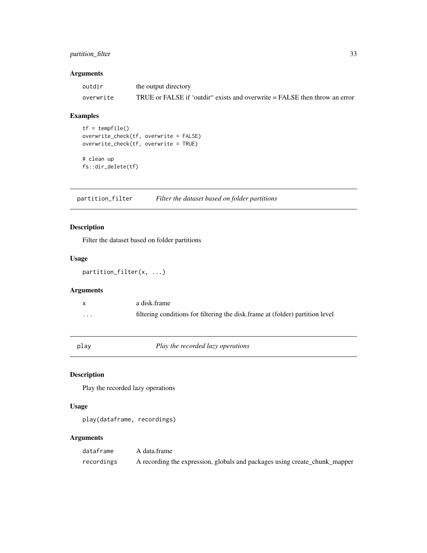# <span id="page-32-0"></span>partition\_filter 33

# Arguments

| outdir    | the output directory                                                        |
|-----------|-----------------------------------------------------------------------------|
| overwrite | TRUE or FALSE if 'outdir'' exists and overwrite = FALSE then throw an error |

# Examples

```
tf = tempfile()
overwrite_check(tf, overwrite = FALSE)
overwrite_check(tf, overwrite = TRUE)
```

```
# clean up
fs::dir_delete(tf)
```
partition\_filter *Filter the dataset based on folder partitions*

# Description

Filter the dataset based on folder partitions

#### Usage

partition\_filter(x, ...)

# Arguments

|          | a disk frame                                                                   |
|----------|--------------------------------------------------------------------------------|
| $\cdots$ | filtering conditions for filtering the disk, frame at (folder) partition level |

play *Play the recorded lazy operations*

# Description

Play the recorded lazy operations

# Usage

play(dataframe, recordings)

| dataframe  | A data frame                                                               |
|------------|----------------------------------------------------------------------------|
| recordings | A recording the expression, globals and packages using create_chunk_mapper |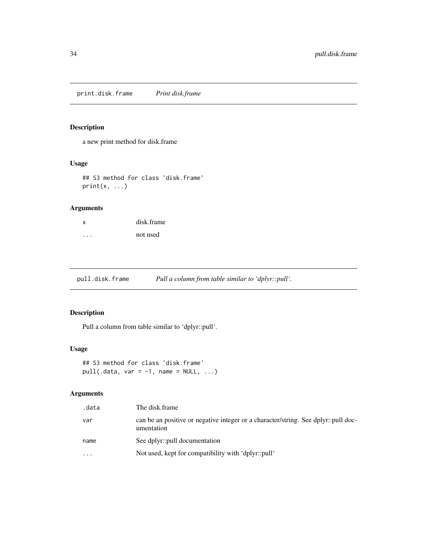<span id="page-33-0"></span>print.disk.frame *Print disk.frame*

# Description

a new print method for disk.frame

#### Usage

## S3 method for class 'disk.frame'  $print(x, \ldots)$ 

# Arguments

| X | disk.frame |
|---|------------|
|   | not used   |

pull.disk.frame *Pull a column from table similar to 'dplyr::pull'.*

# Description

Pull a column from table similar to 'dplyr::pull'.

#### Usage

```
## S3 method for class 'disk.frame'
pull(.data, var = -1, name = NULL, ...)
```

| .data     | The disk.frame                                                                                   |
|-----------|--------------------------------------------------------------------------------------------------|
| var       | can be an positive or negative integer or a character/string. See dplyr::pull doc-<br>umentation |
| name      | See dplyr::pull documentation                                                                    |
| $\ddotsc$ | Not used, kept for compatibility with 'dplyr::pull'                                              |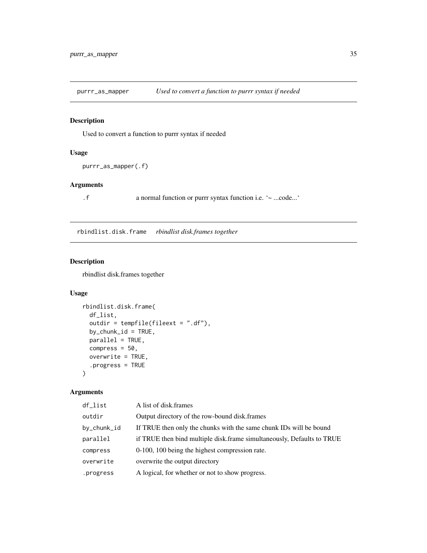<span id="page-34-0"></span>

# Description

Used to convert a function to purrr syntax if needed

# Usage

```
purrr_as_mapper(.f)
```
# Arguments

.f a normal function or purrr syntax function i.e. '~ ...code...'

rbindlist.disk.frame *rbindlist disk.frames together*

# Description

rbindlist disk.frames together

#### Usage

```
rbindlist.disk.frame(
  df_list,
  outdir = tempfile(fileext = ".df"),
  by_{\text{c}}chunk_id = TRUE,
  parallel = TRUE,
  compress = 50,
  overwrite = TRUE,
  .progress = TRUE
\mathcal{E}
```

| $df_{\text{list}}$<br>A list of disk frames                                        |  |
|------------------------------------------------------------------------------------|--|
| outdir<br>Output directory of the row-bound disk.frames                            |  |
| If TRUE then only the chunks with the same chunk IDs will be bound<br>by_chunk_id  |  |
| if TRUE then bind multiple disk.frame simultaneously, Defaults to TRUE<br>parallel |  |
| 0-100, 100 being the highest compression rate.<br>compress                         |  |
| overwrite the output directory<br>overwrite                                        |  |
| A logical, for whether or not to show progress.<br>.progress                       |  |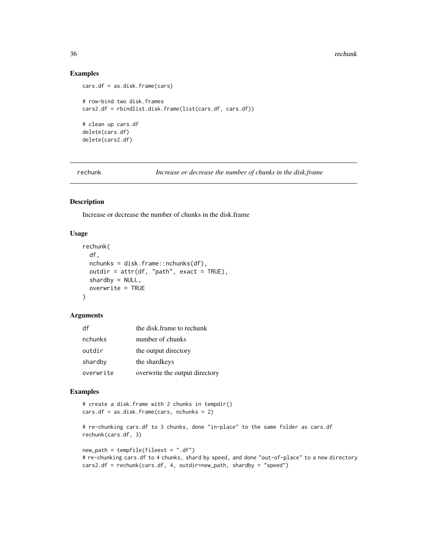#### 36 rechunk

#### Examples

```
cars.df = as.disk.frame(cars)
# row-bind two disk.frames
cars2.df = rbindlist.disk.frame(list(cars.df, cars.df))
# clean up cars.df
delete(cars.df)
delete(cars2.df)
```
rechunk *Increase or decrease the number of chunks in the disk.frame*

#### Description

Increase or decrease the number of chunks in the disk.frame

#### Usage

```
rechunk(
  df,
  nchunks = disk.frame::nchunks(df),
 outdir = attr(df, "path", exact = TRUE),shardby = NULL,
 overwrite = TRUE
)
```
#### Arguments

| df        | the disk frame to rechunk      |
|-----------|--------------------------------|
| nchunks   | number of chunks               |
| outdir    | the output directory           |
| shardby   | the shardkeys                  |
| overwrite | overwrite the output directory |

# Examples

```
# create a disk.frame with 2 chunks in tempdir()
cars.df = as.disk.frame(cars, nchunks = 2)
# re-chunking cars.df to 3 chunks, done "in-place" to the same folder as cars.df
rechunk(cars.df, 3)
new\_path = tempfile(fileext = "df")# re-chunking cars.df to 4 chunks, shard by speed, and done "out-of-place" to a new directory
cars2.df = rechunk(cars.df, 4, outdir=new_path, shardby = "speed")
```
<span id="page-35-0"></span>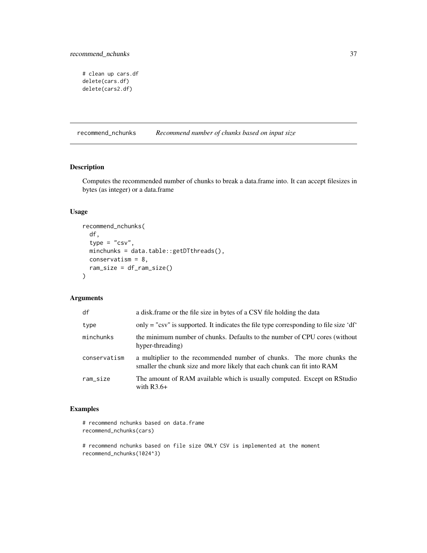```
# clean up cars.df
delete(cars.df)
delete(cars2.df)
```
recommend\_nchunks *Recommend number of chunks based on input size*

# Description

Computes the recommended number of chunks to break a data.frame into. It can accept filesizes in bytes (as integer) or a data.frame

#### Usage

```
recommend_nchunks(
  df,
  type = "csv",
 minchunks = data.table::getDTthreads(),
 conservatism = 8,
  ram_size = df_ram_size()
\mathcal{L}
```
#### Arguments

| df           | a disk frame or the file size in bytes of a CSV file holding the data                                                                            |
|--------------|--------------------------------------------------------------------------------------------------------------------------------------------------|
| type         | only = "csv" is supported. It indicates the file type corresponding to file size 'df'                                                            |
| minchunks    | the minimum number of chunks. Defaults to the number of CPU cores (without<br>hyper-threading)                                                   |
| conservatism | a multiplier to the recommended number of chunks. The more chunks the<br>smaller the chunk size and more likely that each chunk can fit into RAM |
| ram_size     | The amount of RAM available which is usually computed. Except on RStudio<br>with $R3.6+$                                                         |

# Examples

```
# recommend nchunks based on data.frame
recommend_nchunks(cars)
```

```
# recommend nchunks based on file size ONLY CSV is implemented at the moment
recommend_nchunks(1024^3)
```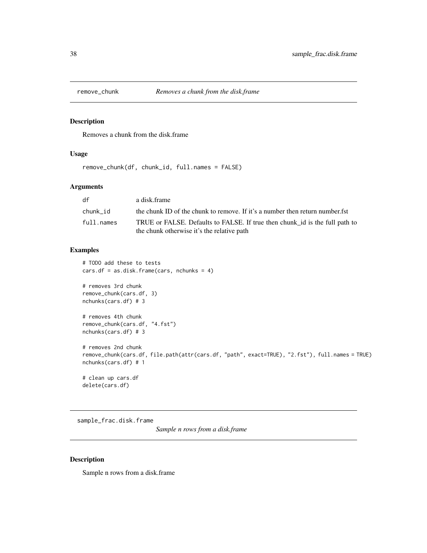<span id="page-37-0"></span>

#### Description

Removes a chunk from the disk.frame

# Usage

remove\_chunk(df, chunk\_id, full.names = FALSE)

# Arguments

| df         | a disk frame                                                                                                              |
|------------|---------------------------------------------------------------------------------------------------------------------------|
| chunk id   | the chunk ID of the chunk to remove. If it's a number then return number.fst                                              |
| full.names | TRUE or FALSE. Defaults to FALSE. If true then chunk id is the full path to<br>the chunk otherwise it's the relative path |

#### Examples

```
# TODO add these to tests
cars.df = as.disk.frame(cars, nchunks = 4)
```

```
# removes 3rd chunk
remove_chunk(cars.df, 3)
nchunks(cars.df) # 3
# removes 4th chunk
remove_chunk(cars.df, "4.fst")
```

```
nchunks(cars.df) # 3
```

```
# removes 2nd chunk
remove_chunk(cars.df, file.path(attr(cars.df, "path", exact=TRUE), "2.fst"), full.names = TRUE)
nchunks(cars.df) # 1
```

```
# clean up cars.df
delete(cars.df)
```
sample\_frac.disk.frame

*Sample n rows from a disk.frame*

# Description

Sample n rows from a disk.frame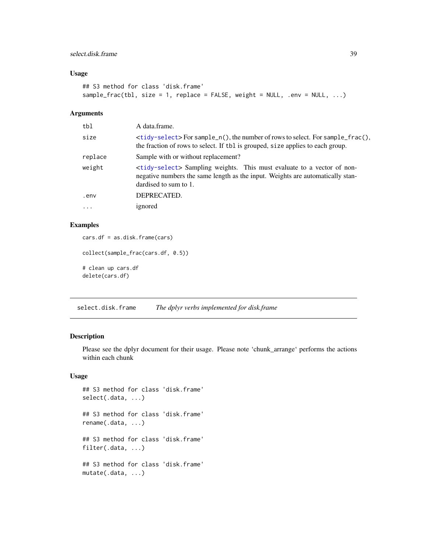#### <span id="page-38-0"></span>select.disk.frame 39

#### Usage

```
## S3 method for class 'disk.frame'
sample_frac(tbl, size = 1, replace = FALSE, weight = NULL, .env = NULL, ...)
```
# Arguments

| tbl     | A data.frame.                                                                                                                                                                                     |
|---------|---------------------------------------------------------------------------------------------------------------------------------------------------------------------------------------------------|
| size    | $\lt$ tidy-select>For sample_n(), the number of rows to select. For sample_frac(),<br>the fraction of rows to select. If the is grouped, size applies to each group.                              |
| replace | Sample with or without replacement?                                                                                                                                                               |
| weight  | <tidy-select> Sampling weights. This must evaluate to a vector of non-<br/>negative numbers the same length as the input. Weights are automatically stan-<br/>dardised to sum to 1.</tidy-select> |
| .env    | DEPRECATED.                                                                                                                                                                                       |
| .       | ignored                                                                                                                                                                                           |
|         |                                                                                                                                                                                                   |

#### Examples

```
cars.df = as.disk.frame(cars)
collect(sample_frac(cars.df, 0.5))
# clean up cars.df
delete(cars.df)
```
select.disk.frame *The dplyr verbs implemented for disk.frame*

#### Description

Please see the dplyr document for their usage. Please note 'chunk\_arrange' performs the actions within each chunk

```
## S3 method for class 'disk.frame'
select(.data, ...)
## S3 method for class 'disk.frame'
rename(.data, ...)
## S3 method for class 'disk.frame'
filter(.data, ...)
## S3 method for class 'disk.frame'
mutate(.data, ...)
```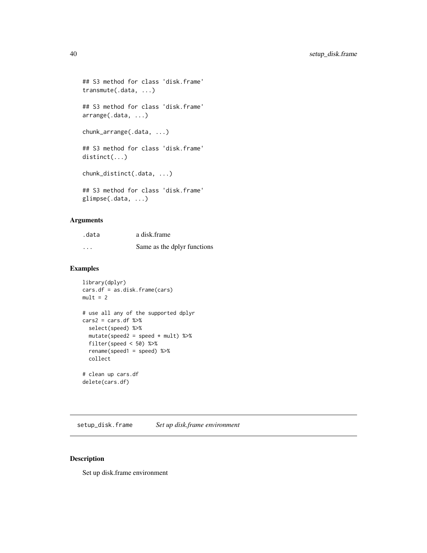```
## S3 method for class 'disk.frame'
transmute(.data, ...)
## S3 method for class 'disk.frame'
arrange(.data, ...)
chunk_arrange(.data, ...)
## S3 method for class 'disk.frame'
distinct(...)
chunk_distinct(.data, ...)
## S3 method for class 'disk.frame'
glimpse(.data, ...)
```
# Arguments

| .data    | a disk frame                |
|----------|-----------------------------|
| $\cdots$ | Same as the dplyr functions |

# Examples

```
library(dplyr)
cars.df = as.disk.frame(cars)
mult = 2# use all any of the supported dplyr
cars2 = cars.df %>\nselect(speed) %>%
  mutate(speed2 = speed * mult) %filter(speed < 50) %>%
  rename(speed1 = speed) %>%
  collect
# clean up cars.df
delete(cars.df)
```
setup\_disk.frame *Set up disk.frame environment*

#### Description

Set up disk.frame environment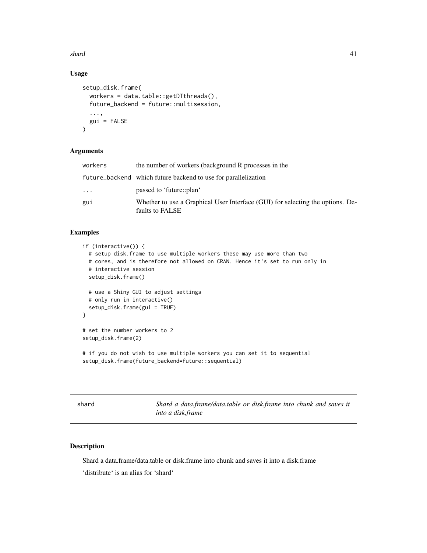<span id="page-40-0"></span> $shard$  41

# Usage

```
setup_disk.frame(
  workers = data.table::getDTthreads(),
  future_backend = future::multisession,
  ...,
  gui = FALSE
\lambda
```
# Arguments

| workers | the number of workers (background R processes in the                                              |
|---------|---------------------------------------------------------------------------------------------------|
|         | future_backend which future backend to use for parallelization                                    |
| .       | passed to 'future::plan'                                                                          |
| gui     | Whether to use a Graphical User Interface (GUI) for selecting the options. De-<br>faults to FALSE |

#### Examples

```
if (interactive()) {
 # setup disk.frame to use multiple workers these may use more than two
 # cores, and is therefore not allowed on CRAN. Hence it's set to run only in
 # interactive session
 setup_disk.frame()
 # use a Shiny GUI to adjust settings
 # only run in interactive()
 setup_disk.frame(gui = TRUE)
}
# set the number workers to 2
setup_disk.frame(2)
# if you do not wish to use multiple workers you can set it to sequential
setup_disk.frame(future_backend=future::sequential)
```
shard *Shard a data.frame/data.table or disk.frame into chunk and saves it into a disk.frame*

#### Description

Shard a data.frame/data.table or disk.frame into chunk and saves it into a disk.frame 'distribute' is an alias for 'shard'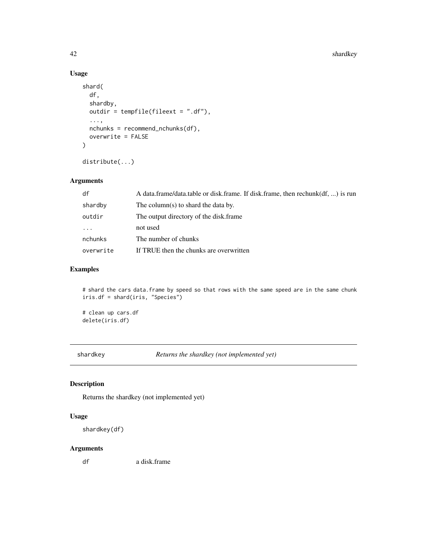# Usage

```
shard(
  df,
  shardby,
 outdir = tempfile(fileext = ".df"),
  ...,
 nchunks = recommend_nchunks(df),
 overwrite = FALSE
)
```
distribute(...)

# Arguments

| df        | A data.frame/data.table or disk.frame. If disk.frame, then rechunk(df, ) is run |
|-----------|---------------------------------------------------------------------------------|
| shardby   | The column(s) to shard the data by.                                             |
| outdir    | The output directory of the disk frame.                                         |
| $\cdots$  | not used                                                                        |
| nchunks   | The number of chunks                                                            |
| overwrite | If TRUE then the chunks are overwritten                                         |

# Examples

# shard the cars data.frame by speed so that rows with the same speed are in the same chunk iris.df = shard(iris, "Species")

# clean up cars.df delete(iris.df)

shardkey *Returns the shardkey (not implemented yet)*

# Description

Returns the shardkey (not implemented yet)

#### Usage

```
shardkey(df)
```
# Arguments

df a disk.frame

<span id="page-41-0"></span>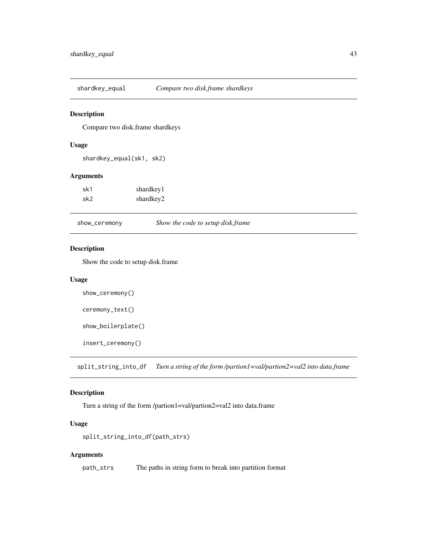<span id="page-42-0"></span>shardkey\_equal *Compare two disk.frame shardkeys*

#### Description

Compare two disk.frame shardkeys

#### Usage

shardkey\_equal(sk1, sk2)

#### Arguments

| sk1 | shardkey1 |
|-----|-----------|
| sk2 | shardkey2 |

show\_ceremony *Show the code to setup disk.frame*

#### Description

Show the code to setup disk.frame

#### Usage

```
show_ceremony()
```

```
ceremony_text()
```
show\_boilerplate()

insert\_ceremony()

split\_string\_into\_df *Turn a string of the form /partion1=val/partion2=val2 into data.frame*

#### Description

Turn a string of the form /partion1=val/partion2=val2 into data.frame

#### Usage

```
split_string_into_df(path_strs)
```
#### Arguments

path\_strs The paths in string form to break into partition format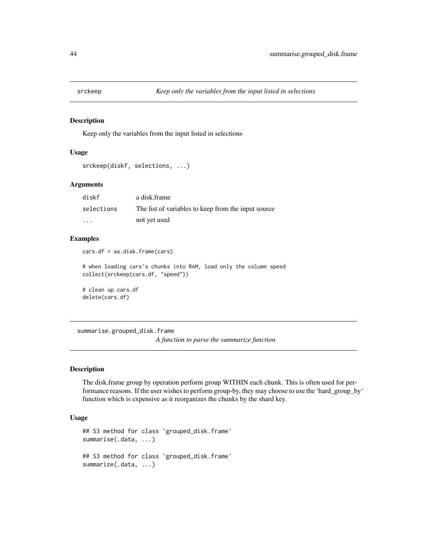<span id="page-43-0"></span>

#### Description

Keep only the variables from the input listed in selections

#### Usage

```
srckeep(diskf, selections, ...)
```
# Arguments

| diskf      | a disk frame                                        |
|------------|-----------------------------------------------------|
| selections | The list of variables to keep from the input source |
| $\cdots$   | not yet used                                        |

#### Examples

cars.df = as.disk.frame(cars)

# when loading cars's chunks into RAM, load only the column speed collect(srckeep(cars.df, "speed"))

# clean up cars.df delete(cars.df)

summarise.grouped\_disk.frame

*A function to parse the summarize function*

#### Description

The disk.frame group by operation perform group WITHIN each chunk. This is often used for performance reasons. If the user wishes to perform group-by, they may choose to use the 'hard\_group\_by' function which is expensive as it reorganizes the chunks by the shard key.

```
## S3 method for class 'grouped_disk.frame'
summarise(.data, ...)
## S3 method for class 'grouped_disk.frame'
summarize(.data, ...)
```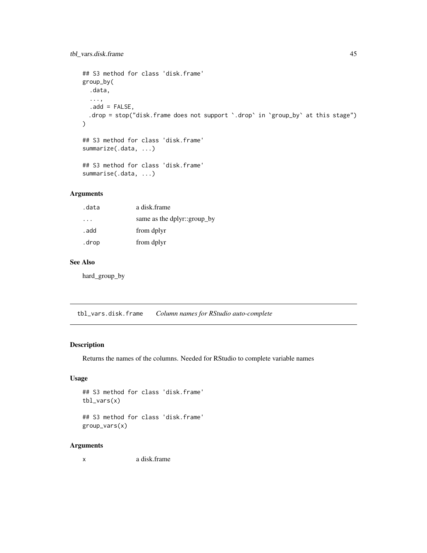```
## S3 method for class 'disk.frame'
group_by(
  .data,
  ...,
  .add = FALSE,.drop = stop("disk.frame does not support `.drop` in `group_by` at this stage")
)
## S3 method for class 'disk.frame'
summarize(.data, ...)
## S3 method for class 'disk.frame'
summarise(.data, ...)
```
#### Arguments

| .data | a disk.frame                |
|-------|-----------------------------|
|       | same as the dplyr::group_by |
| . add | from dplyr                  |
| .drop | from dplyr                  |

#### See Also

hard\_group\_by

tbl\_vars.disk.frame *Column names for RStudio auto-complete*

# Description

Returns the names of the columns. Needed for RStudio to complete variable names

# Usage

```
## S3 method for class 'disk.frame'
tbl_vars(x)
```
## S3 method for class 'disk.frame' group\_vars(x)

#### Arguments

x a disk.frame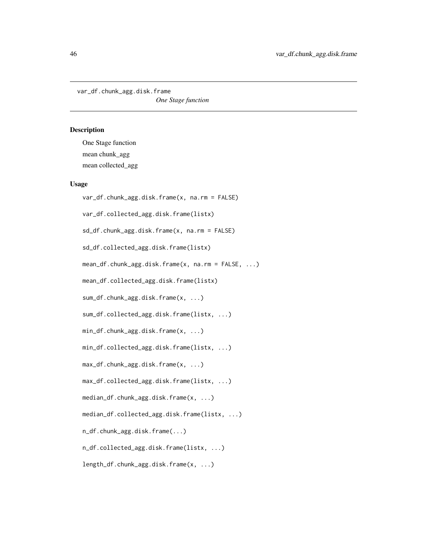<span id="page-45-0"></span>var\_df.chunk\_agg.disk.frame

*One Stage function*

### Description

One Stage function mean chunk\_agg mean collected\_agg

```
var_df.chunk_agg.disk.frame(x, na.rm = FALSE)
var_df.collected_agg.disk.frame(listx)
sd_df.chunk_agg.disk.frame(x, na.rm = FALSE)
sd_df.collected_agg.disk.frame(listx)
mean_df.chunk_agg.disk.frame(x, na.rm = FALSE, ...)
mean_df.collected_agg.disk.frame(listx)
sum_df.chunk_agg.disk.frame(x, ...)
sum_df.collected_agg.disk.frame(listx, ...)
min_df.chunk_agg.disk.frame(x, ...)
min_df.collected_agg.disk.frame(listx, ...)
max_df.chunk_agg.disk.frame(x, ...)
max_df.collected_agg.disk.frame(listx, ...)
median_df.chunk_agg.disk.frame(x, ...)
median_df.collected_agg.disk.frame(listx, ...)
n_df.chunk_agg.disk.frame(...)
n_df.collected_agg.disk.frame(listx, ...)
length_df.chunk_agg.disk.frame(x, ...)
```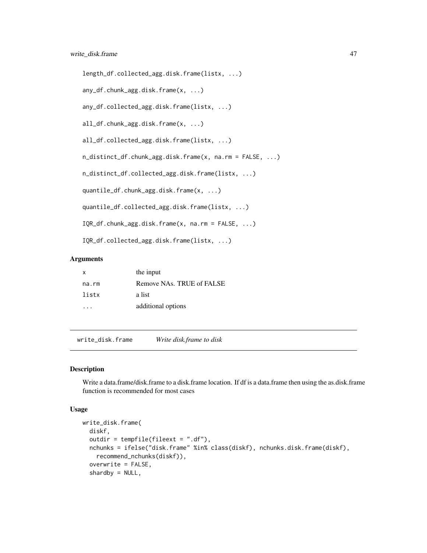```
length_df.collected_agg.disk.frame(listx, ...)
any_df.chunk_agg.disk.frame(x, ...)
any_df.collected_agg.disk.frame(listx, ...)
all_df.chunk_agg.disk.frame(x, ...)
all_df.collected_agg.disk.frame(listx, ...)
n_distinct_df.chunk_agg.disk.frame(x, na.rm = FALSE, ...)
n_distinct_df.collected_agg.disk.frame(listx, ...)
quantile_df.chunk_agg.disk.frame(x, ...)
quantile_df.collected_agg.disk.frame(listx, ...)
IQR_df.chunk_agg.disk.frame(x, na.rm = FALSE, ...)
```
IQR\_df.collected\_agg.disk.frame(listx, ...)

#### Arguments

| Remove NAs. TRUE of FALSE<br>na.rm<br>listx<br>a list |  |
|-------------------------------------------------------|--|
|                                                       |  |
|                                                       |  |
| additional options                                    |  |

write\_disk.frame *Write disk.frame to disk*

# Description

Write a data.frame/disk.frame to a disk.frame location. If df is a data.frame then using the as.disk.frame function is recommended for most cases

```
write_disk.frame(
  diskf,
  outdir = tempfile(fileext = ".df),
  nchunks = ifelse("disk.frame" %in% class(diskf), nchunks.disk.frame(diskf),
   recommend_nchunks(diskf)),
  overwrite = FALSE,
  shardby = NULL,
```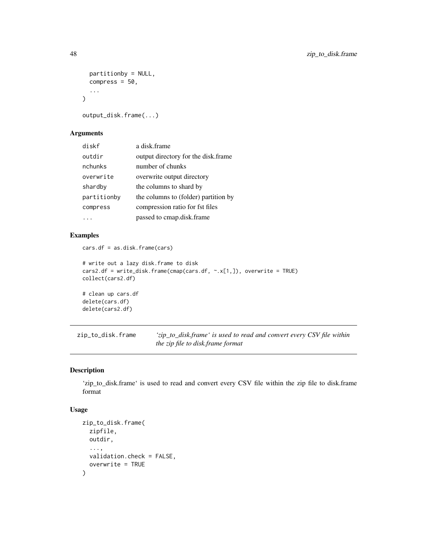```
partitionby = NULL,
 compress = 50,
  ...
\lambda
```

```
output_disk.frame(...)
```
# Arguments

| diskf       | a disk frame                         |
|-------------|--------------------------------------|
| outdir      | output directory for the disk.frame  |
| nchunks     | number of chunks                     |
| overwrite   | overwrite output directory           |
| shardby     | the columns to shard by              |
| partitionby | the columns to (folder) partition by |
| compress    | compression ratio for fst files      |
|             | passed to cmap.disk.frame            |

#### Examples

cars.df = as.disk.frame(cars)

```
# write out a lazy disk.frame to disk
cars2.df = write_disk.frame(cmap(cars.df, ~.x[1,]), overwrite = TRUE)
collect(cars2.df)
# clean up cars.df
delete(cars.df)
```

```
delete(cars2.df)
```
<span id="page-47-1"></span>zip\_to\_disk.frame *'zip\_to\_disk.frame' is used to read and convert every CSV file within the zip file to disk.frame format*

#### Description

'zip\_to\_disk.frame' is used to read and convert every CSV file within the zip file to disk.frame format

```
zip_to_disk.frame(
  zipfile,
  outdir,
  ...,
  validation.check = FALSE,
  overwrite = TRUE
\mathcal{E}
```
<span id="page-47-0"></span>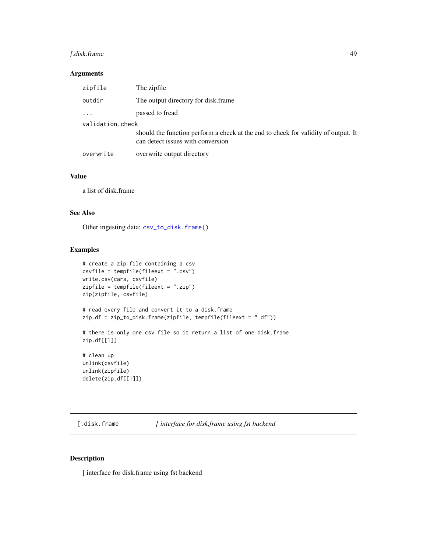# <span id="page-48-0"></span>[.disk.frame 49

#### Arguments

| zipfile          | The zipfile                                                                                                             |  |
|------------------|-------------------------------------------------------------------------------------------------------------------------|--|
| outdir           | The output directory for disk.frame                                                                                     |  |
| $\ddots$ .       | passed to fread                                                                                                         |  |
| validation.check |                                                                                                                         |  |
|                  | should the function perform a check at the end to check for validity of output. It<br>can detect issues with conversion |  |
| overwrite        | overwrite output directory                                                                                              |  |

#### Value

a list of disk.frame

#### See Also

Other ingesting data: [csv\\_to\\_disk.frame\(](#page-16-1))

# Examples

```
# create a zip file containing a csv
csvfile = tempfile(fileext = ".csv")
write.csv(cars, csvfile)
zipfile = tempfile(fileext = ".zip")
zip(zipfile, csvfile)
# read every file and convert it to a disk.frame
zip.df = zip_to_disk.frame(zipfile, tempfile(fileext = ".df"))
# there is only one csv file so it return a list of one disk.frame
zip.df[[1]]
# clean up
unlink(csvfile)
unlink(zipfile)
delete(zip.df[[1]])
```
[.disk.frame *[ interface for disk.frame using fst backend*

#### Description

[ interface for disk.frame using fst backend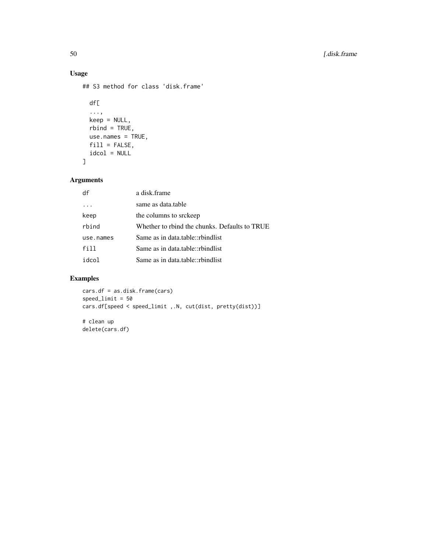# Usage

## S3 method for class 'disk.frame'

```
df[
  ...,
 keep = NULL,
 rbind = TRUE,
 use.names = TRUE,
 fill = FALSE,
 idcol = NULL
]
```
# Arguments

| df        | a disk.frame                                  |
|-----------|-----------------------------------------------|
|           | same as data.table                            |
| keep      | the columns to srckeep                        |
| rbind     | Whether to rbind the chunks. Defaults to TRUE |
| use.names | Same as in data table::rbindlist              |
| fill      | Same as in data.table::rbindlist              |
| idcol     | Same as in data.table::rbindlist              |

# Examples

cars.df = as.disk.frame(cars) speed\_limit = 50 cars.df[speed < speed\_limit ,.N, cut(dist, pretty(dist))]

# clean up delete(cars.df)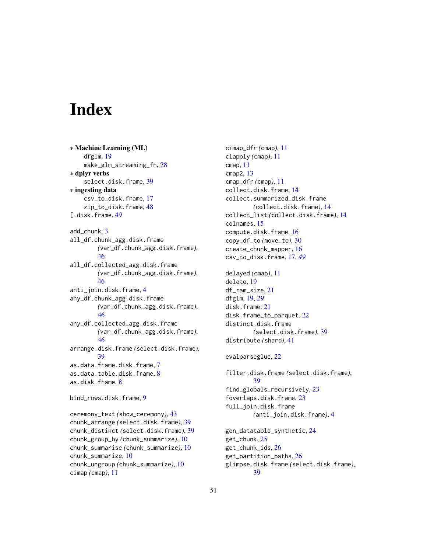# <span id="page-50-0"></span>Index

∗ Machine Learning (ML) dfglm, [19](#page-18-0) make\_glm\_streaming\_fn, [28](#page-27-0) ∗ dplyr verbs select.disk.frame, [39](#page-38-0) ∗ ingesting data csv\_to\_disk.frame, [17](#page-16-0) zip\_to\_disk.frame, [48](#page-47-0) [.disk.frame, [49](#page-48-0) add\_chunk, [3](#page-2-0) all\_df.chunk\_agg.disk.frame *(*var\_df.chunk\_agg.disk.frame*)*, [46](#page-45-0) all\_df.collected\_agg.disk.frame *(*var\_df.chunk\_agg.disk.frame*)*, [46](#page-45-0) anti\_join.disk.frame, [4](#page-3-0) any\_df.chunk\_agg.disk.frame *(*var\_df.chunk\_agg.disk.frame*)*, [46](#page-45-0) any\_df.collected\_agg.disk.frame *(*var\_df.chunk\_agg.disk.frame*)*, [46](#page-45-0) arrange.disk.frame *(*select.disk.frame*)*, [39](#page-38-0) as.data.frame.disk.frame, [7](#page-6-0) as.data.table.disk.frame, [8](#page-7-0) as.disk.frame, [8](#page-7-0) bind\_rows.disk.frame, [9](#page-8-0) ceremony\_text *(*show\_ceremony*)*, [43](#page-42-0) chunk\_arrange *(*select.disk.frame*)*, [39](#page-38-0) chunk\_distinct *(*select.disk.frame*)*, [39](#page-38-0) chunk\_group\_by *(*chunk\_summarize*)*, [10](#page-9-0) chunk\_summarise *(*chunk\_summarize*)*, [10](#page-9-0) chunk\_summarize, [10](#page-9-0) chunk\_ungroup *(*chunk\_summarize*)*, [10](#page-9-0) cimap *(*cmap*)*, [11](#page-10-0)

cimap\_dfr *(*cmap*)*, [11](#page-10-0) clapply *(*cmap*)*, [11](#page-10-0) cmap, [11](#page-10-0) cmap2, [13](#page-12-0) cmap\_dfr *(*cmap*)*, [11](#page-10-0) collect.disk.frame, [14](#page-13-0) collect.summarized\_disk.frame *(*collect.disk.frame*)*, [14](#page-13-0) collect\_list *(*collect.disk.frame*)*, [14](#page-13-0) colnames, [15](#page-14-0) compute.disk.frame, [16](#page-15-0) copy\_df\_to *(*move\_to*)*, [30](#page-29-0) create\_chunk\_mapper, [16](#page-15-0) csv\_to\_disk.frame, [17,](#page-16-0) *[49](#page-48-0)* delayed *(*cmap*)*, [11](#page-10-0) delete, [19](#page-18-0) df\_ram\_size, [21](#page-20-0) dfglm, [19,](#page-18-0) *[29](#page-28-0)* disk.frame, [21](#page-20-0) disk.frame\_to\_parquet, [22](#page-21-0) distinct.disk.frame *(*select.disk.frame*)*, [39](#page-38-0) distribute *(*shard*)*, [41](#page-40-0) evalparseglue, [22](#page-21-0) filter.disk.frame *(*select.disk.frame*)*, [39](#page-38-0) find\_globals\_recursively, [23](#page-22-0) foverlaps.disk.frame, [23](#page-22-0) full\_join.disk.frame *(*anti\_join.disk.frame*)*, [4](#page-3-0) gen\_datatable\_synthetic, [24](#page-23-0) get\_chunk, [25](#page-24-0) get\_chunk\_ids, [26](#page-25-0) get\_partition\_paths, [26](#page-25-0) glimpse.disk.frame *(*select.disk.frame*)*, [39](#page-38-0)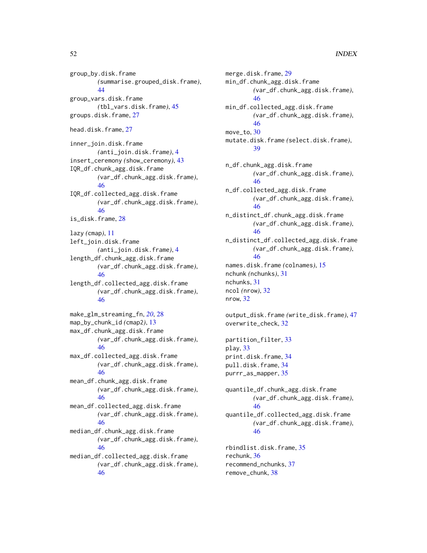### 52 INDEX

group\_by.disk.frame *(*summarise.grouped\_disk.frame*)*, [44](#page-43-0) group\_vars.disk.frame *(*tbl\_vars.disk.frame*)*, [45](#page-44-0) groups.disk.frame, [27](#page-26-0)

head.disk.frame, [27](#page-26-0)

inner\_join.disk.frame *(*anti\_join.disk.frame*)*, [4](#page-3-0) insert\_ceremony *(*show\_ceremony*)*, [43](#page-42-0) IQR\_df.chunk\_agg.disk.frame *(*var\_df.chunk\_agg.disk.frame*)*, [46](#page-45-0) IQR\_df.collected\_agg.disk.frame *(*var\_df.chunk\_agg.disk.frame*)*, [46](#page-45-0) is\_disk.frame, [28](#page-27-0)

lazy *(*cmap*)*, [11](#page-10-0) left\_join.disk.frame *(*anti\_join.disk.frame*)*, [4](#page-3-0) length\_df.chunk\_agg.disk.frame *(*var\_df.chunk\_agg.disk.frame*)*, [46](#page-45-0)

length\_df.collected\_agg.disk.frame *(*var\_df.chunk\_agg.disk.frame*)*, [46](#page-45-0)

make\_glm\_streaming\_fn, *[20](#page-19-0)*, [28](#page-27-0) map\_by\_chunk\_id *(*cmap2*)*, [13](#page-12-0) max\_df.chunk\_agg.disk.frame *(*var\_df.chunk\_agg.disk.frame*)*, [46](#page-45-0) max\_df.collected\_agg.disk.frame

*(*var\_df.chunk\_agg.disk.frame*)*, [46](#page-45-0) mean\_df.chunk\_agg.disk.frame

*(*var\_df.chunk\_agg.disk.frame*)*, [46](#page-45-0)

mean\_df.collected\_agg.disk.frame *(*var\_df.chunk\_agg.disk.frame*)*, [46](#page-45-0)

median\_df.chunk\_agg.disk.frame *(*var\_df.chunk\_agg.disk.frame*)*, [46](#page-45-0)

median\_df.collected\_agg.disk.frame *(*var\_df.chunk\_agg.disk.frame*)*, [46](#page-45-0)

merge.disk.frame, [29](#page-28-0) min\_df.chunk\_agg.disk.frame *(*var\_df.chunk\_agg.disk.frame*)*, [46](#page-45-0) min\_df.collected\_agg.disk.frame *(*var\_df.chunk\_agg.disk.frame*)*, [46](#page-45-0) move\_to, [30](#page-29-0) mutate.disk.frame *(*select.disk.frame*)*, [39](#page-38-0) n\_df.chunk\_agg.disk.frame *(*var\_df.chunk\_agg.disk.frame*)*, [46](#page-45-0) n\_df.collected\_agg.disk.frame *(*var\_df.chunk\_agg.disk.frame*)*, [46](#page-45-0) n\_distinct\_df.chunk\_agg.disk.frame *(*var\_df.chunk\_agg.disk.frame*)*, [46](#page-45-0) n\_distinct\_df.collected\_agg.disk.frame *(*var\_df.chunk\_agg.disk.frame*)*, [46](#page-45-0) names.disk.frame *(*colnames*)*, [15](#page-14-0) nchunk *(*nchunks*)*, [31](#page-30-0) nchunks, [31](#page-30-0) ncol *(*nrow*)*, [32](#page-31-0) nrow, [32](#page-31-0) output\_disk.frame *(*write\_disk.frame*)*, [47](#page-46-0) overwrite\_check, [32](#page-31-0) partition\_filter, [33](#page-32-0) play, [33](#page-32-0) print.disk.frame, [34](#page-33-0)

pull.disk.frame, [34](#page-33-0) purrr\_as\_mapper, [35](#page-34-0)

quantile\_df.chunk\_agg.disk.frame *(*var\_df.chunk\_agg.disk.frame*)*, [46](#page-45-0) quantile\_df.collected\_agg.disk.frame *(*var\_df.chunk\_agg.disk.frame*)*, [46](#page-45-0)

rbindlist.disk.frame, [35](#page-34-0) rechunk, [36](#page-35-0) recommend\_nchunks, [37](#page-36-0) remove\_chunk, [38](#page-37-0)